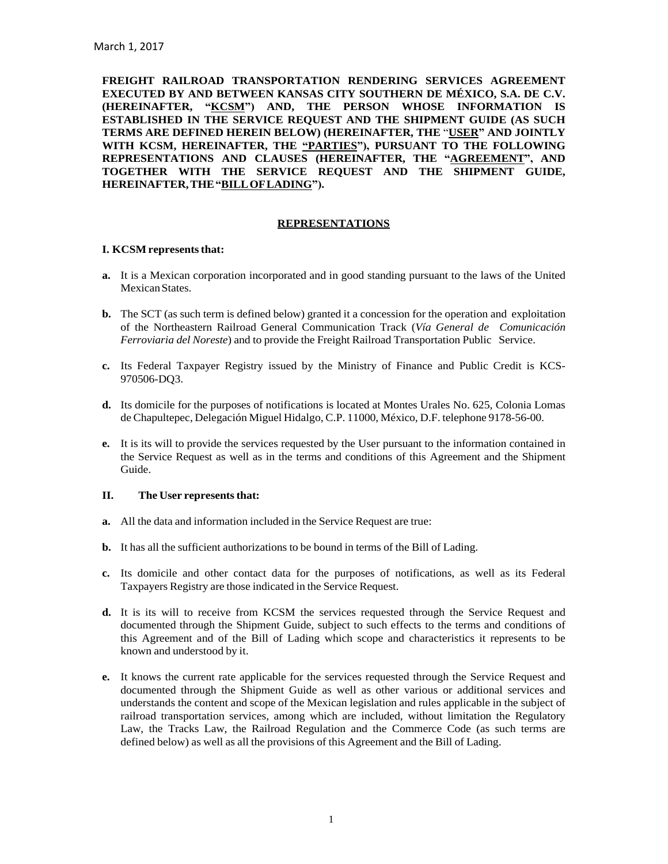**FREIGHT RAILROAD TRANSPORTATION RENDERING SERVICES AGREEMENT EXECUTED BY AND BETWEEN KANSAS CITY SOUTHERN DE MÉXICO, S.A. DE C.V. (HEREINAFTER, "KCSM") AND, THE PERSON WHOSE INFORMATION IS ESTABLISHED IN THE SERVICE REQUEST AND THE SHIPMENT GUIDE (AS SUCH TERMS ARE DEFINED HEREIN BELOW) (HEREINAFTER, THE** "**USER" AND JOINTLY WITH KCSM, HEREINAFTER, THE "PARTIES"), PURSUANT TO THE FOLLOWING REPRESENTATIONS AND CLAUSES (HEREINAFTER, THE "AGREEMENT", AND TOGETHER WITH THE SERVICE REQUEST AND THE SHIPMENT GUIDE, HEREINAFTER,THE"BILLOFLADING").**

#### **REPRESENTATIONS**

#### **I. KCSM representsthat:**

- **a.** It is a Mexican corporation incorporated and in good standing pursuant to the laws of the United Mexican States.
- **b.** The SCT (as such term is defined below) granted it a concession for the operation and exploitation of the Northeastern Railroad General Communication Track (*Vía General de Comunicación Ferroviaria del Noreste*) and to provide the Freight Railroad Transportation Public Service.
- **c.** Its Federal Taxpayer Registry issued by the Ministry of Finance and Public Credit is KCS-970506-DQ3.
- **d.** Its domicile for the purposes of notifications is located at Montes Urales No. 625, Colonia Lomas de Chapultepec, Delegación Miguel Hidalgo, C.P. 11000, México, D.F. telephone 9178-56-00.
- **e.** It is its will to provide the services requested by the User pursuant to the information contained in the Service Request as well as in the terms and conditions of this Agreement and the Shipment Guide.

### **II.** The User represents that:

- **a.** All the data and information included in the Service Request are true:
- **b.** It has all the sufficient authorizations to be bound in terms of the Bill of Lading.
- **c.** Its domicile and other contact data for the purposes of notifications, as well as its Federal Taxpayers Registry are those indicated in the Service Request.
- **d.** It is its will to receive from KCSM the services requested through the Service Request and documented through the Shipment Guide, subject to such effects to the terms and conditions of this Agreement and of the Bill of Lading which scope and characteristics it represents to be known and understood by it.
- **e.** It knows the current rate applicable for the services requested through the Service Request and documented through the Shipment Guide as well as other various or additional services and understands the content and scope of the Mexican legislation and rules applicable in the subject of railroad transportation services, among which are included, without limitation the Regulatory Law, the Tracks Law, the Railroad Regulation and the Commerce Code (as such terms are defined below) as well as all the provisions of this Agreement and the Bill of Lading.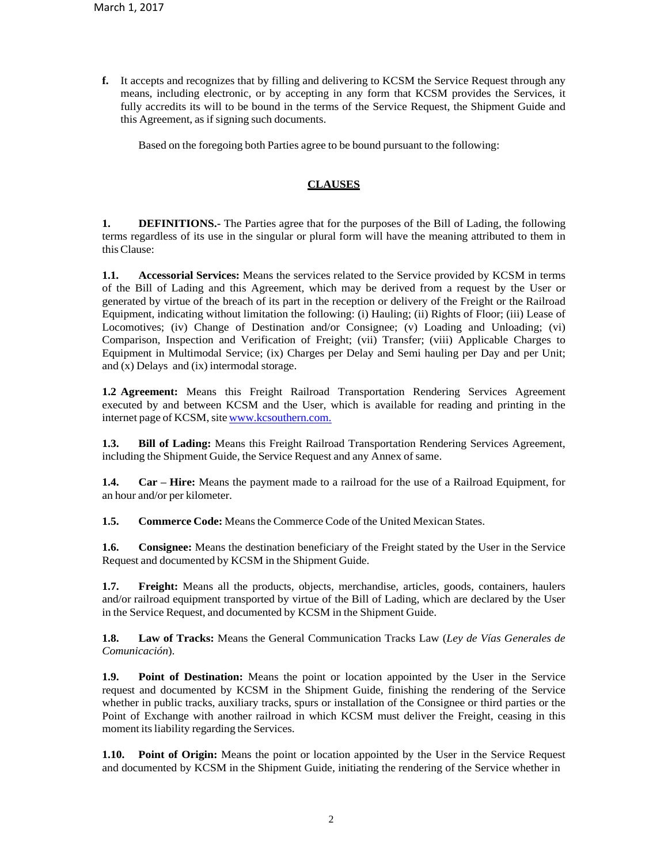**f.** It accepts and recognizes that by filling and delivering to KCSM the Service Request through any means, including electronic, or by accepting in any form that KCSM provides the Services, it fully accredits its will to be bound in the terms of the Service Request, the Shipment Guide and this Agreement, as if signing such documents.

Based on the foregoing both Parties agree to be bound pursuant to the following:

# **CLAUSES**

**1. DEFINITIONS.-** The Parties agree that for the purposes of the Bill of Lading, the following terms regardless of its use in the singular or plural form will have the meaning attributed to them in thisClause:

**1.1. Accessorial Services:** Means the services related to the Service provided by KCSM in terms of the Bill of Lading and this Agreement, which may be derived from a request by the User or generated by virtue of the breach of its part in the reception or delivery of the Freight or the Railroad Equipment, indicating without limitation the following: (i) Hauling; (ii) Rights of Floor; (iii) Lease of Locomotives; (iv) Change of Destination and/or Consignee; (v) Loading and Unloading; (vi) Comparison, Inspection and Verification of Freight; (vii) Transfer; (viii) Applicable Charges to Equipment in Multimodal Service; (ix) Charges per Delay and Semi hauling per Day and per Unit; and (x) Delays and (ix) intermodal storage.

**1.2 Agreement:** Means this Freight Railroad Transportation Rendering Services Agreement executed by and between KCSM and the User, which is available for reading and printing in the internet page of KCSM, site [www.kcsouthern.com.](http://www.kcsouthern.com/)

**1.3. Bill of Lading:** Means this Freight Railroad Transportation Rendering Services Agreement, including the Shipment Guide, the Service Request and any Annex of same.

**1.4. Car – Hire:** Means the payment made to a railroad for the use of a Railroad Equipment, for an hour and/or per kilometer.

**1.5. Commerce Code:** Means the Commerce Code of the United Mexican States.

**1.6. Consignee:** Means the destination beneficiary of the Freight stated by the User in the Service Request and documented by KCSM in the Shipment Guide.

**1.7. Freight:** Means all the products, objects, merchandise, articles, goods, containers, haulers and/or railroad equipment transported by virtue of the Bill of Lading, which are declared by the User in the Service Request, and documented by KCSM in the Shipment Guide.

**1.8. Law of Tracks:** Means the General Communication Tracks Law (*Ley de Vías Generales de Comunicación*).

**1.9. Point of Destination:** Means the point or location appointed by the User in the Service request and documented by KCSM in the Shipment Guide, finishing the rendering of the Service whether in public tracks, auxiliary tracks, spurs or installation of the Consignee or third parties or the Point of Exchange with another railroad in which KCSM must deliver the Freight, ceasing in this moment its liability regarding the Services.

**1.10. Point of Origin:** Means the point or location appointed by the User in the Service Request and documented by KCSM in the Shipment Guide, initiating the rendering of the Service whether in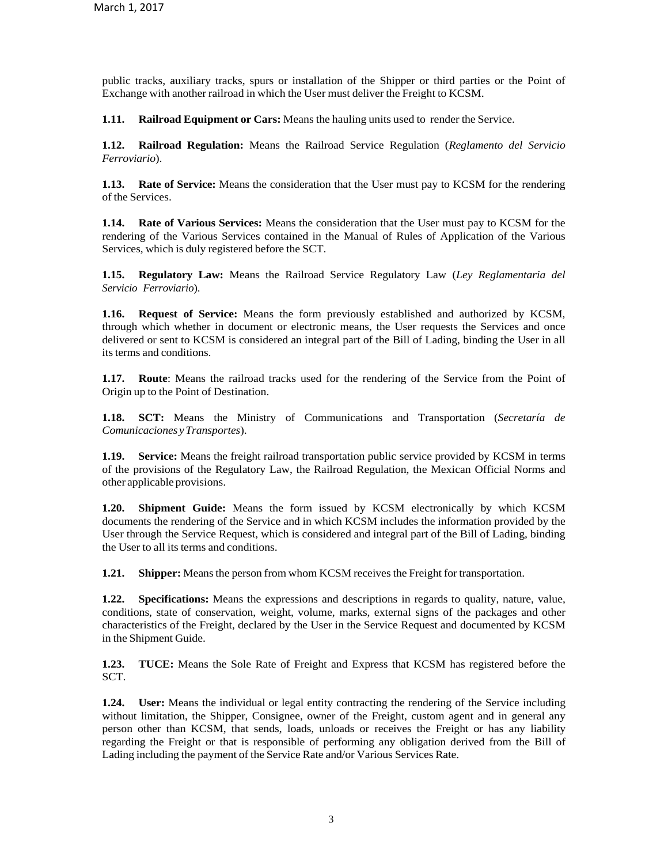public tracks, auxiliary tracks, spurs or installation of the Shipper or third parties or the Point of Exchange with another railroad in which the User must deliver the Freight to KCSM.

**1.11. Railroad Equipment or Cars:** Means the hauling units used to render the Service.

**1.12. Railroad Regulation:** Means the Railroad Service Regulation (*Reglamento del Servicio Ferroviario*).

**1.13. Rate of Service:** Means the consideration that the User must pay to KCSM for the rendering of the Services.

**1.14. Rate of Various Services:** Means the consideration that the User must pay to KCSM for the rendering of the Various Services contained in the Manual of Rules of Application of the Various Services, which is duly registered before the SCT.

**1.15. Regulatory Law:** Means the Railroad Service Regulatory Law (*Ley Reglamentaria del Servicio Ferroviario*).

**1.16. Request of Service:** Means the form previously established and authorized by KCSM, through which whether in document or electronic means, the User requests the Services and once delivered or sent to KCSM is considered an integral part of the Bill of Lading, binding the User in all its terms and conditions.

**1.17. Route**: Means the railroad tracks used for the rendering of the Service from the Point of Origin up to the Point of Destination.

**1.18. SCT:** Means the Ministry of Communications and Transportation (*Secretaría de Comunicaciones yTransportes*).

**1.19. Service:** Means the freight railroad transportation public service provided by KCSM in terms of the provisions of the Regulatory Law, the Railroad Regulation, the Mexican Official Norms and other applicable provisions.

**1.20. Shipment Guide:** Means the form issued by KCSM electronically by which KCSM documents the rendering of the Service and in which KCSM includes the information provided by the User through the Service Request, which is considered and integral part of the Bill of Lading, binding the User to all its terms and conditions.

**1.21. Shipper:** Means the person from whom KCSM receives the Freight for transportation.

**1.22. Specifications:** Means the expressions and descriptions in regards to quality, nature, value, conditions, state of conservation, weight, volume, marks, external signs of the packages and other characteristics of the Freight, declared by the User in the Service Request and documented by KCSM in the Shipment Guide.

**1.23. TUCE:** Means the Sole Rate of Freight and Express that KCSM has registered before the SCT.

**1.24. User:** Means the individual or legal entity contracting the rendering of the Service including without limitation, the Shipper, Consignee, owner of the Freight, custom agent and in general any person other than KCSM, that sends, loads, unloads or receives the Freight or has any liability regarding the Freight or that is responsible of performing any obligation derived from the Bill of Lading including the payment of the Service Rate and/or Various Services Rate.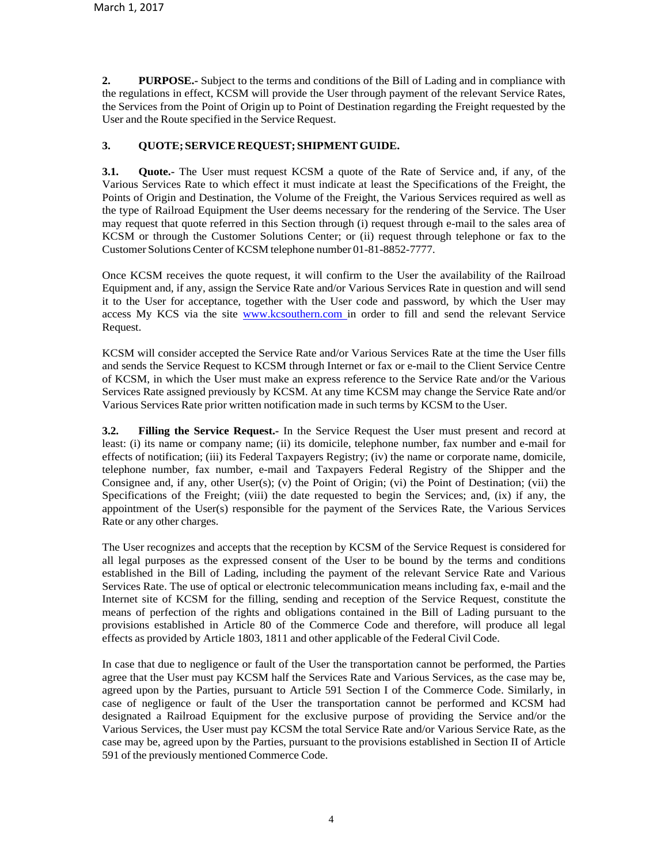**2. PURPOSE.-** Subject to the terms and conditions of the Bill of Lading and in compliance with the regulations in effect, KCSM will provide the User through payment of the relevant Service Rates, the Services from the Point of Origin up to Point of Destination regarding the Freight requested by the User and the Route specified in the Service Request.

## **3. QUOTE;SERVICE REQUEST; SHIPMENTGUIDE.**

**3.1. Quote.-** The User must request KCSM a quote of the Rate of Service and, if any, of the Various Services Rate to which effect it must indicate at least the Specifications of the Freight, the Points of Origin and Destination, the Volume of the Freight, the Various Services required as well as the type of Railroad Equipment the User deems necessary for the rendering of the Service. The User may request that quote referred in this Section through (i) request through e-mail to the sales area of KCSM or through the Customer Solutions Center; or (ii) request through telephone or fax to the Customer Solutions Center of KCSM telephone number 01-81-8852-7777.

Once KCSM receives the quote request, it will confirm to the User the availability of the Railroad Equipment and, if any, assign the Service Rate and/or Various Services Rate in question and will send it to the User for acceptance, together with the User code and password, by which the User may access My KCS via the site [www.kcsouthern.com](http://www.kcsouthern.com/) in order to fill and send the relevant Service Request.

KCSM will consider accepted the Service Rate and/or Various Services Rate at the time the User fills and sends the Service Request to KCSM through Internet or fax or e-mail to the Client Service Centre of KCSM, in which the User must make an express reference to the Service Rate and/or the Various Services Rate assigned previously by KCSM. At any time KCSM may change the Service Rate and/or Various Services Rate prior written notification made in such terms by KCSM to the User.

**3.2. Filling the Service Request.-** In the Service Request the User must present and record at least: (i) its name or company name; (ii) its domicile, telephone number, fax number and e-mail for effects of notification; (iii) its Federal Taxpayers Registry; (iv) the name or corporate name, domicile, telephone number, fax number, e-mail and Taxpayers Federal Registry of the Shipper and the Consignee and, if any, other User(s); (v) the Point of Origin; (vi) the Point of Destination; (vii) the Specifications of the Freight; (viii) the date requested to begin the Services; and, (ix) if any, the appointment of the User(s) responsible for the payment of the Services Rate, the Various Services Rate or any other charges.

The User recognizes and accepts that the reception by KCSM of the Service Request is considered for all legal purposes as the expressed consent of the User to be bound by the terms and conditions established in the Bill of Lading, including the payment of the relevant Service Rate and Various Services Rate. The use of optical or electronic telecommunication means including fax, e-mail and the Internet site of KCSM for the filling, sending and reception of the Service Request, constitute the means of perfection of the rights and obligations contained in the Bill of Lading pursuant to the provisions established in Article 80 of the Commerce Code and therefore, will produce all legal effects as provided by Article 1803, 1811 and other applicable of the Federal Civil Code.

In case that due to negligence or fault of the User the transportation cannot be performed, the Parties agree that the User must pay KCSM half the Services Rate and Various Services, as the case may be, agreed upon by the Parties, pursuant to Article 591 Section I of the Commerce Code. Similarly, in case of negligence or fault of the User the transportation cannot be performed and KCSM had designated a Railroad Equipment for the exclusive purpose of providing the Service and/or the Various Services, the User must pay KCSM the total Service Rate and/or Various Service Rate, as the case may be, agreed upon by the Parties, pursuant to the provisions established in Section II of Article 591 of the previously mentioned Commerce Code.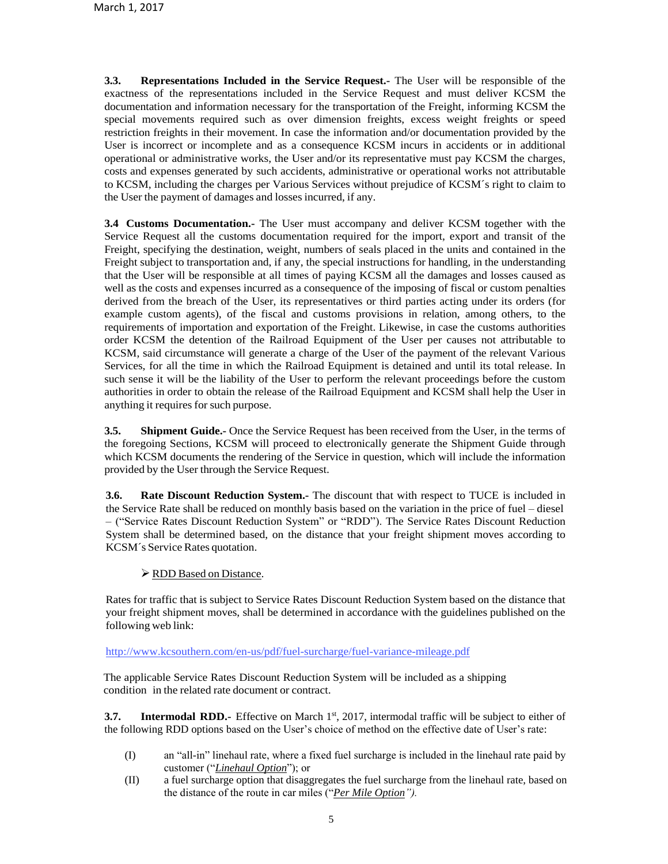**3.3. Representations Included in the Service Request.-** The User will be responsible of the exactness of the representations included in the Service Request and must deliver KCSM the documentation and information necessary for the transportation of the Freight, informing KCSM the special movements required such as over dimension freights, excess weight freights or speed restriction freights in their movement. In case the information and/or documentation provided by the User is incorrect or incomplete and as a consequence KCSM incurs in accidents or in additional operational or administrative works, the User and/or its representative must pay KCSM the charges, costs and expenses generated by such accidents, administrative or operational works not attributable to KCSM, including the charges per Various Services without prejudice of KCSM´s right to claim to the User the payment of damages and losses incurred, if any.

**3.4 Customs Documentation.-** The User must accompany and deliver KCSM together with the Service Request all the customs documentation required for the import, export and transit of the Freight, specifying the destination, weight, numbers of seals placed in the units and contained in the Freight subject to transportation and, if any, the special instructions for handling, in the understanding that the User will be responsible at all times of paying KCSM all the damages and losses caused as well as the costs and expenses incurred as a consequence of the imposing of fiscal or custom penalties derived from the breach of the User, its representatives or third parties acting under its orders (for example custom agents), of the fiscal and customs provisions in relation, among others, to the requirements of importation and exportation of the Freight. Likewise, in case the customs authorities order KCSM the detention of the Railroad Equipment of the User per causes not attributable to KCSM, said circumstance will generate a charge of the User of the payment of the relevant Various Services, for all the time in which the Railroad Equipment is detained and until its total release. In such sense it will be the liability of the User to perform the relevant proceedings before the custom authorities in order to obtain the release of the Railroad Equipment and KCSM shall help the User in anything it requires for such purpose.

**3.5. Shipment Guide.-** Once the Service Request has been received from the User, in the terms of the foregoing Sections, KCSM will proceed to electronically generate the Shipment Guide through which KCSM documents the rendering of the Service in question, which will include the information provided by the User through the Service Request.

**3.6. Rate Discount Reduction System.-** The discount that with respect to TUCE is included in the Service Rate shall be reduced on monthly basis based on the variation in the price of fuel – diesel – ("Service Rates Discount Reduction System" or "RDD"). The Service Rates Discount Reduction System shall be determined based, on the distance that your freight shipment moves according to KCSM´s Service Rates quotation.

### **≻ RDD Based on Distance.**

Rates for traffic that is subject to Service Rates Discount Reduction System based on the distance that your freight shipment moves, shall be determined in accordance with the guidelines published on the following web link:

http://www.kcsouthern.com/en-us/pdf[/fuel-surcharge/fuel-variance-mileage.pdf](http://www.kcsouthern.com/en-us/pdf/fuel-surcharge/fuel-variance-mileage.pdf)

The applicable Service Rates Discount Reduction System will be included as a shipping condition in the related rate document or contract.

**3.7. Intermodal RDD.-** Effective on March 1<sup>st</sup>, 2017, intermodal traffic will be subject to either of the following RDD options based on the User's choice of method on the effective date of User's rate:

- (I) an "all-in" linehaul rate, where a fixed fuel surcharge is included in the linehaul rate paid by customer ("*Linehaul Option*"); or
- (II) a fuel surcharge option that disaggregates the fuel surcharge from the linehaul rate, based on the distance of the route in car miles ("*Per Mile Option").*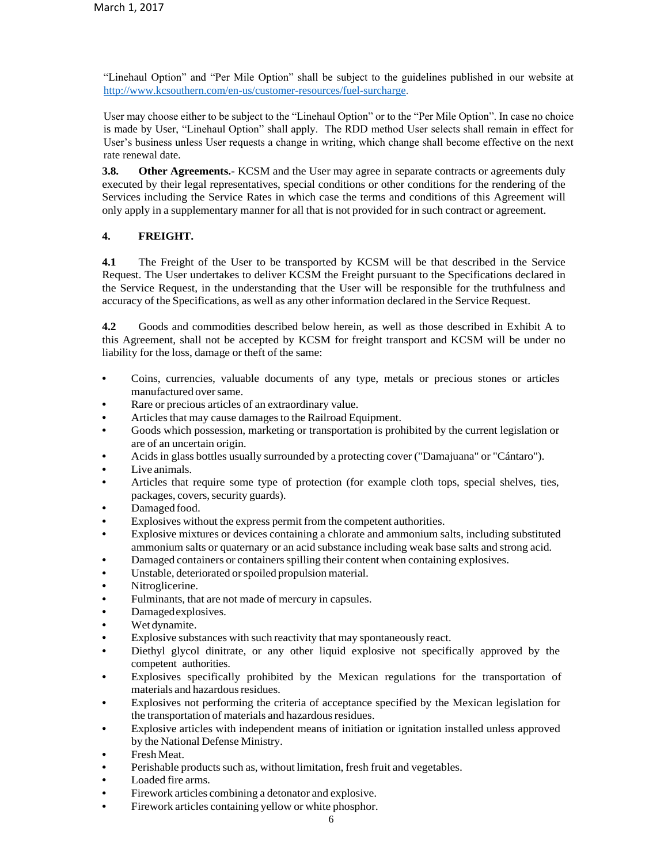"Linehaul Option" and "Per Mile Option" shall be subject to the guidelines published in our website at [http://www.kcsouthern.com/en-us/customer-resources/fuel-surcharge.](http://www.kcsouthern.com/en-us/customer-resources/fuel-surcharge)

User may choose either to be subject to the "Linehaul Option" or to the "Per Mile Option". In case no choice is made by User, "Linehaul Option" shall apply. The RDD method User selects shall remain in effect for User's business unless User requests a change in writing, which change shall become effective on the next rate renewal date.

**3.8. Other Agreements.-** KCSM and the User may agree in separate contracts or agreements duly executed by their legal representatives, special conditions or other conditions for the rendering of the Services including the Service Rates in which case the terms and conditions of this Agreement will only apply in a supplementary manner for all that is not provided for in such contract or agreement.

## **4. FREIGHT.**

**4.1** The Freight of the User to be transported by KCSM will be that described in the Service Request. The User undertakes to deliver KCSM the Freight pursuant to the Specifications declared in the Service Request, in the understanding that the User will be responsible for the truthfulness and accuracy of the Specifications, as well as any other information declared in the Service Request.

**4.2** Goods and commodities described below herein, as well as those described in Exhibit A to this Agreement, shall not be accepted by KCSM for freight transport and KCSM will be under no liability for the loss, damage or theft of the same:

- **•** Coins, currencies, valuable documents of any type, metals or precious stones or articles manufactured over same.
- **•** Rare or precious articles of an extraordinary value.
- Articles that may cause damages to the Railroad Equipment.
- **•** Goods which possession, marketing or transportation is prohibited by the current legislation or are of an uncertain origin.
- **•** Acidsin glass bottles usually surrounded by a protecting cover ("Damajuana" or "Cántaro").
- **•** Live animals.
- **•** Articles that require some type of protection (for example cloth tops, special shelves, ties, packages, covers, security guards).
- **•** Damaged food.
- **•** Explosives without the express permit from the competent authorities.
- **•** Explosive mixtures or devices containing a chlorate and ammonium salts, including substituted ammonium salts or quaternary or an acid substance including weak base salts and strong acid.
- Damaged containers or containers spilling their content when containing explosives.
- **•** Unstable, deteriorated orspoiled propulsion material.
- **•** Nitroglicerine.
- **•** Fulminants, that are not made of mercury in capsules.
- **•** Damagedexplosives.
- **•** Wet dynamite.
- **•** Explosive substances with such reactivity that may spontaneously react.
- **•** Diethyl glycol dinitrate, or any other liquid explosive not specifically approved by the competent authorities.
- **•** Explosives specifically prohibited by the Mexican regulations for the transportation of materials and hazardous residues.
- **•** Explosives not performing the criteria of acceptance specified by the Mexican legislation for the transportation of materials and hazardous residues.
- **•** Explosive articles with independent means of initiation or ignitation installed unless approved by the National Defense Ministry.
- **•** Fresh Meat.
- Perishable products such as, without limitation, fresh fruit and vegetables.
- **•** Loaded fire arms.
- **•** Firework articles combining a detonator and explosive.
	- **•** Firework articles containing yellow or white phosphor.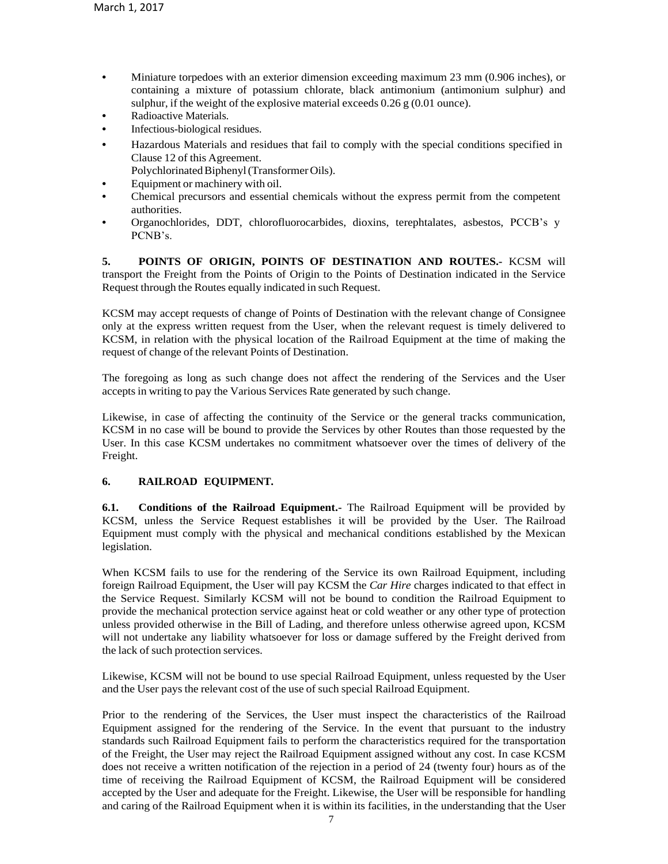- **•** Miniature torpedoes with an exterior dimension exceeding maximum 23 mm (0.906 inches), or containing a mixture of potassium chlorate, black antimonium (antimonium sulphur) and sulphur, if the weight of the explosive material exceeds  $0.26 \text{ g}$  (0.01 ounce).
- **•** Radioactive Materials.
- **•** Infectious-biological residues.
- **•** Hazardous Materials and residues that fail to comply with the special conditions specified in Clause 12 of this Agreement.

Polychlorinated Biphenyl (Transformer Oils).

- **•** Equipment or machinery with oil.
- **•** Chemical precursors and essential chemicals without the express permit from the competent authorities.
- **•** Organochlorides, DDT, chlorofluorocarbides, dioxins, terephtalates, asbestos, PCCB's y PCNB's.

**5. POINTS OF ORIGIN, POINTS OF DESTINATION AND ROUTES.-** KCSM will transport the Freight from the Points of Origin to the Points of Destination indicated in the Service Request through the Routes equally indicated in such Request.

KCSM may accept requests of change of Points of Destination with the relevant change of Consignee only at the express written request from the User, when the relevant request is timely delivered to KCSM, in relation with the physical location of the Railroad Equipment at the time of making the request of change of the relevant Points of Destination.

The foregoing as long as such change does not affect the rendering of the Services and the User accepts in writing to pay the Various Services Rate generated by such change.

Likewise, in case of affecting the continuity of the Service or the general tracks communication, KCSM in no case will be bound to provide the Services by other Routes than those requested by the User. In this case KCSM undertakes no commitment whatsoever over the times of delivery of the Freight.

## **6. RAILROAD EQUIPMENT.**

**6.1. Conditions of the Railroad Equipment.-** The Railroad Equipment will be provided by KCSM, unless the Service Request establishes it will be provided by the User. The Railroad Equipment must comply with the physical and mechanical conditions established by the Mexican legislation.

When KCSM fails to use for the rendering of the Service its own Railroad Equipment, including foreign Railroad Equipment, the User will pay KCSM the *Car Hire* charges indicated to that effect in the Service Request. Similarly KCSM will not be bound to condition the Railroad Equipment to provide the mechanical protection service against heat or cold weather or any other type of protection unless provided otherwise in the Bill of Lading, and therefore unless otherwise agreed upon, KCSM will not undertake any liability whatsoever for loss or damage suffered by the Freight derived from the lack of such protection services.

Likewise, KCSM will not be bound to use special Railroad Equipment, unless requested by the User and the User pays the relevant cost of the use of such special Railroad Equipment.

Prior to the rendering of the Services, the User must inspect the characteristics of the Railroad Equipment assigned for the rendering of the Service. In the event that pursuant to the industry standards such Railroad Equipment fails to perform the characteristics required for the transportation of the Freight, the User may reject the Railroad Equipment assigned without any cost. In case KCSM does not receive a written notification of the rejection in a period of 24 (twenty four) hours as of the time of receiving the Railroad Equipment of KCSM, the Railroad Equipment will be considered accepted by the User and adequate for the Freight. Likewise, the User will be responsible for handling and caring of the Railroad Equipment when it is within its facilities, in the understanding that the User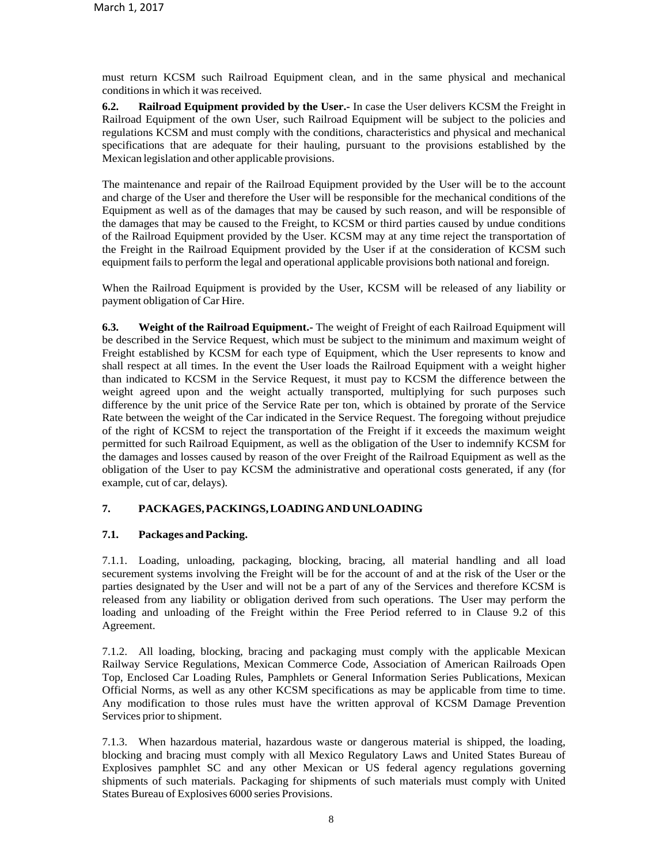must return KCSM such Railroad Equipment clean, and in the same physical and mechanical conditions in which it was received.

**6.2. Railroad Equipment provided by the User.-** In case the User delivers KCSM the Freight in Railroad Equipment of the own User, such Railroad Equipment will be subject to the policies and regulations KCSM and must comply with the conditions, characteristics and physical and mechanical specifications that are adequate for their hauling, pursuant to the provisions established by the Mexican legislation and other applicable provisions.

The maintenance and repair of the Railroad Equipment provided by the User will be to the account and charge of the User and therefore the User will be responsible for the mechanical conditions of the Equipment as well as of the damages that may be caused by such reason, and will be responsible of the damages that may be caused to the Freight, to KCSM or third parties caused by undue conditions of the Railroad Equipment provided by the User. KCSM may at any time reject the transportation of the Freight in the Railroad Equipment provided by the User if at the consideration of KCSM such equipment fails to perform the legal and operational applicable provisions both national and foreign.

When the Railroad Equipment is provided by the User, KCSM will be released of any liability or payment obligation of Car Hire.

**6.3. Weight of the Railroad Equipment.-** The weight of Freight of each Railroad Equipment will be described in the Service Request, which must be subject to the minimum and maximum weight of Freight established by KCSM for each type of Equipment, which the User represents to know and shall respect at all times. In the event the User loads the Railroad Equipment with a weight higher than indicated to KCSM in the Service Request, it must pay to KCSM the difference between the weight agreed upon and the weight actually transported, multiplying for such purposes such difference by the unit price of the Service Rate per ton, which is obtained by prorate of the Service Rate between the weight of the Car indicated in the Service Request. The foregoing without prejudice of the right of KCSM to reject the transportation of the Freight if it exceeds the maximum weight permitted for such Railroad Equipment, as well as the obligation of the User to indemnify KCSM for the damages and losses caused by reason of the over Freight of the Railroad Equipment as well as the obligation of the User to pay KCSM the administrative and operational costs generated, if any (for example, cut of car, delays).

### **7. PACKAGES,PACKINGS,LOADINGANDUNLOADING**

### **7.1. Packages and Packing.**

7.1.1. Loading, unloading, packaging, blocking, bracing, all material handling and all load securement systems involving the Freight will be for the account of and at the risk of the User or the parties designated by the User and will not be a part of any of the Services and therefore KCSM is released from any liability or obligation derived from such operations. The User may perform the loading and unloading of the Freight within the Free Period referred to in Clause 9.2 of this Agreement.

7.1.2. All loading, blocking, bracing and packaging must comply with the applicable Mexican Railway Service Regulations, Mexican Commerce Code, Association of American Railroads Open Top, Enclosed Car Loading Rules, Pamphlets or General Information Series Publications, Mexican Official Norms, as well as any other KCSM specifications as may be applicable from time to time. Any modification to those rules must have the written approval of KCSM Damage Prevention Services prior to shipment.

7.1.3. When hazardous material, hazardous waste or dangerous material is shipped, the loading, blocking and bracing must comply with all Mexico Regulatory Laws and United States Bureau of Explosives pamphlet SC and any other Mexican or US federal agency regulations governing shipments of such materials. Packaging for shipments of such materials must comply with United States Bureau of Explosives 6000 series Provisions.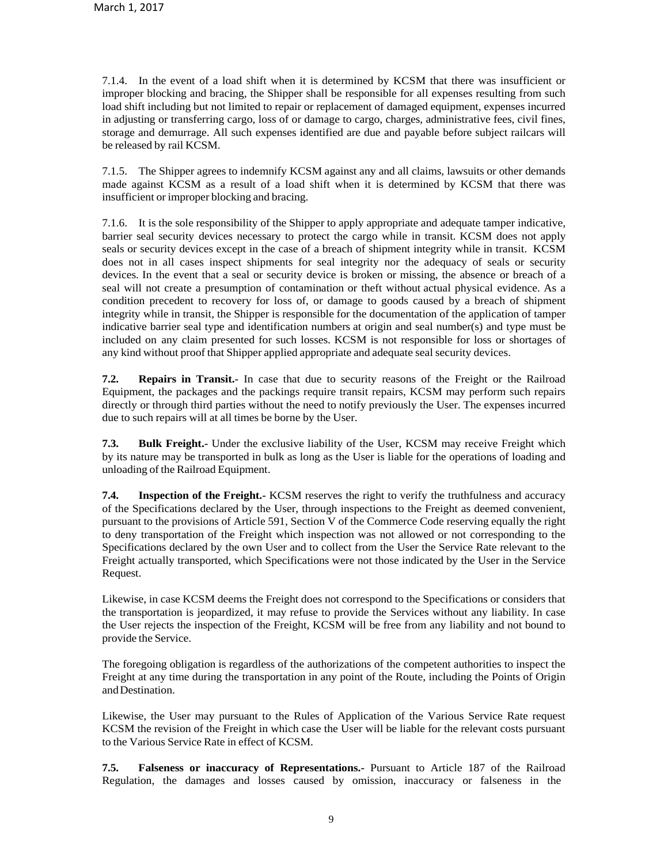7.1.4. In the event of a load shift when it is determined by KCSM that there was insufficient or improper blocking and bracing, the Shipper shall be responsible for all expenses resulting from such load shift including but not limited to repair or replacement of damaged equipment, expenses incurred in adjusting or transferring cargo, loss of or damage to cargo, charges, administrative fees, civil fines, storage and demurrage. All such expenses identified are due and payable before subject railcars will be released by rail KCSM.

7.1.5. The Shipper agrees to indemnify KCSM against any and all claims, lawsuits or other demands made against KCSM as a result of a load shift when it is determined by KCSM that there was insufficient or improper blocking and bracing.

7.1.6. It is the sole responsibility of the Shipper to apply appropriate and adequate tamper indicative, barrier seal security devices necessary to protect the cargo while in transit. KCSM does not apply seals or security devices except in the case of a breach of shipment integrity while in transit. KCSM does not in all cases inspect shipments for seal integrity nor the adequacy of seals or security devices. In the event that a seal or security device is broken or missing, the absence or breach of a seal will not create a presumption of contamination or theft without actual physical evidence. As a condition precedent to recovery for loss of, or damage to goods caused by a breach of shipment integrity while in transit, the Shipper is responsible for the documentation of the application of tamper indicative barrier seal type and identification numbers at origin and seal number(s) and type must be included on any claim presented for such losses. KCSM is not responsible for loss or shortages of any kind without proof that Shipper applied appropriate and adequate seal security devices.

**7.2. Repairs in Transit.-** In case that due to security reasons of the Freight or the Railroad Equipment, the packages and the packings require transit repairs, KCSM may perform such repairs directly or through third parties without the need to notify previously the User. The expenses incurred due to such repairs will at all times be borne by the User.

**7.3. Bulk Freight.-** Under the exclusive liability of the User, KCSM may receive Freight which by its nature may be transported in bulk as long as the User is liable for the operations of loading and unloading of the Railroad Equipment.

**7.4. Inspection of the Freight.**- KCSM reserves the right to verify the truthfulness and accuracy of the Specifications declared by the User, through inspections to the Freight as deemed convenient, pursuant to the provisions of Article 591, Section V of the Commerce Code reserving equally the right to deny transportation of the Freight which inspection was not allowed or not corresponding to the Specifications declared by the own User and to collect from the User the Service Rate relevant to the Freight actually transported, which Specifications were not those indicated by the User in the Service Request.

Likewise, in case KCSM deems the Freight does not correspond to the Specifications or considers that the transportation is jeopardized, it may refuse to provide the Services without any liability. In case the User rejects the inspection of the Freight, KCSM will be free from any liability and not bound to provide the Service.

The foregoing obligation is regardless of the authorizations of the competent authorities to inspect the Freight at any time during the transportation in any point of the Route, including the Points of Origin andDestination.

Likewise, the User may pursuant to the Rules of Application of the Various Service Rate request KCSM the revision of the Freight in which case the User will be liable for the relevant costs pursuant to the Various Service Rate in effect of KCSM.

**7.5. Falseness or inaccuracy of Representations.-** Pursuant to Article 187 of the Railroad Regulation, the damages and losses caused by omission, inaccuracy or falseness in the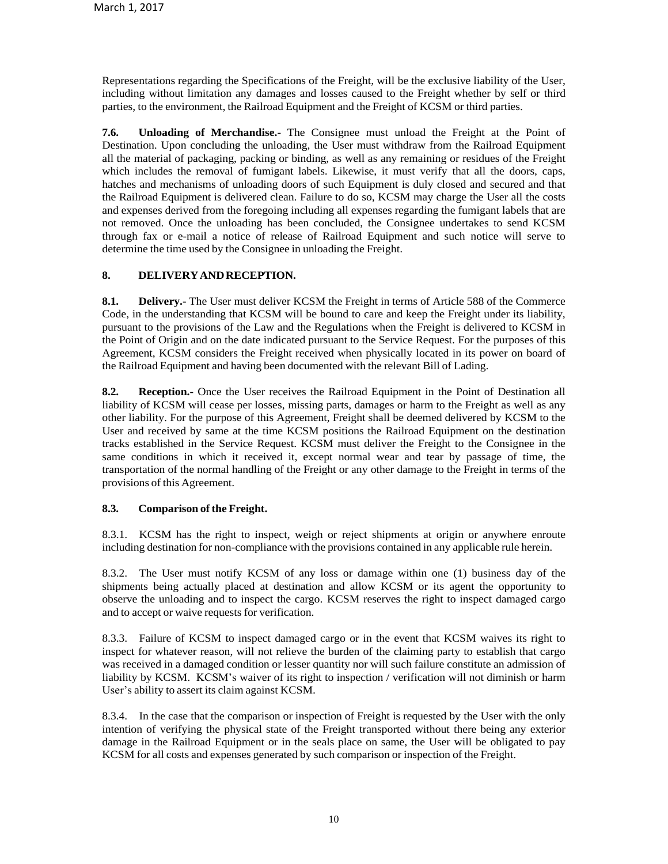Representations regarding the Specifications of the Freight, will be the exclusive liability of the User, including without limitation any damages and losses caused to the Freight whether by self or third parties, to the environment, the Railroad Equipment and the Freight of KCSM or third parties.

**7.6. Unloading of Merchandise.-** The Consignee must unload the Freight at the Point of Destination. Upon concluding the unloading, the User must withdraw from the Railroad Equipment all the material of packaging, packing or binding, as well as any remaining or residues of the Freight which includes the removal of fumigant labels. Likewise, it must verify that all the doors, caps, hatches and mechanisms of unloading doors of such Equipment is duly closed and secured and that the Railroad Equipment is delivered clean. Failure to do so, KCSM may charge the User all the costs and expenses derived from the foregoing including all expenses regarding the fumigant labels that are not removed. Once the unloading has been concluded, the Consignee undertakes to send KCSM through fax or e-mail a notice of release of Railroad Equipment and such notice will serve to determine the time used by the Consignee in unloading the Freight.

## **8. DELIVERYANDRECEPTION.**

**8.1. Delivery.-** The User must deliver KCSM the Freight in terms of Article 588 of the Commerce Code, in the understanding that KCSM will be bound to care and keep the Freight under its liability, pursuant to the provisions of the Law and the Regulations when the Freight is delivered to KCSM in the Point of Origin and on the date indicated pursuant to the Service Request. For the purposes of this Agreement, KCSM considers the Freight received when physically located in its power on board of the Railroad Equipment and having been documented with the relevant Bill of Lading.

**8.2. Reception.-** Once the User receives the Railroad Equipment in the Point of Destination all liability of KCSM will cease per losses, missing parts, damages or harm to the Freight as well as any other liability. For the purpose of this Agreement, Freight shall be deemed delivered by KCSM to the User and received by same at the time KCSM positions the Railroad Equipment on the destination tracks established in the Service Request. KCSM must deliver the Freight to the Consignee in the same conditions in which it received it, except normal wear and tear by passage of time, the transportation of the normal handling of the Freight or any other damage to the Freight in terms of the provisions of this Agreement.

### **8.3. Comparison of the Freight.**

8.3.1. KCSM has the right to inspect, weigh or reject shipments at origin or anywhere enroute including destination for non-compliance with the provisions contained in any applicable rule herein.

8.3.2. The User must notify KCSM of any loss or damage within one (1) business day of the shipments being actually placed at destination and allow KCSM or its agent the opportunity to observe the unloading and to inspect the cargo. KCSM reserves the right to inspect damaged cargo and to accept or waive requests for verification.

8.3.3. Failure of KCSM to inspect damaged cargo or in the event that KCSM waives its right to inspect for whatever reason, will not relieve the burden of the claiming party to establish that cargo was received in a damaged condition or lesser quantity nor will such failure constitute an admission of liability by KCSM. KCSM's waiver of its right to inspection / verification will not diminish or harm User's ability to assert its claim against KCSM.

8.3.4. In the case that the comparison or inspection of Freight is requested by the User with the only intention of verifying the physical state of the Freight transported without there being any exterior damage in the Railroad Equipment or in the seals place on same, the User will be obligated to pay KCSM for all costs and expenses generated by such comparison or inspection of the Freight.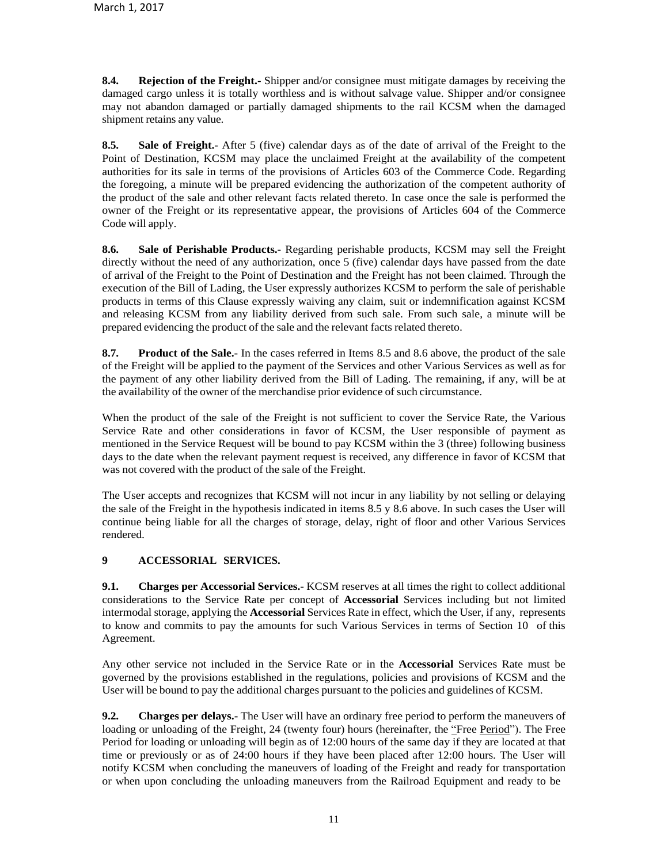**8.4. Rejection of the Freight.-** Shipper and/or consignee must mitigate damages by receiving the damaged cargo unless it is totally worthless and is without salvage value. Shipper and/or consignee may not abandon damaged or partially damaged shipments to the rail KCSM when the damaged shipment retains any value.

**8.5. Sale of Freight.-** After 5 (five) calendar days as of the date of arrival of the Freight to the Point of Destination, KCSM may place the unclaimed Freight at the availability of the competent authorities for its sale in terms of the provisions of Articles 603 of the Commerce Code. Regarding the foregoing, a minute will be prepared evidencing the authorization of the competent authority of the product of the sale and other relevant facts related thereto. In case once the sale is performed the owner of the Freight or its representative appear, the provisions of Articles 604 of the Commerce Code will apply.

**8.6. Sale of Perishable Products.-** Regarding perishable products, KCSM may sell the Freight directly without the need of any authorization, once 5 (five) calendar days have passed from the date of arrival of the Freight to the Point of Destination and the Freight has not been claimed. Through the execution of the Bill of Lading, the User expressly authorizes KCSM to perform the sale of perishable products in terms of this Clause expressly waiving any claim, suit or indemnification against KCSM and releasing KCSM from any liability derived from such sale. From such sale, a minute will be prepared evidencing the product of the sale and the relevant facts related thereto.

**8.7. Product of the Sale.-** In the cases referred in Items 8.5 and 8.6 above, the product of the sale of the Freight will be applied to the payment of the Services and other Various Services as well as for the payment of any other liability derived from the Bill of Lading. The remaining, if any, will be at the availability of the owner of the merchandise prior evidence ofsuch circumstance.

When the product of the sale of the Freight is not sufficient to cover the Service Rate, the Various Service Rate and other considerations in favor of KCSM, the User responsible of payment as mentioned in the Service Request will be bound to pay KCSM within the 3 (three) following business days to the date when the relevant payment request is received, any difference in favor of KCSM that was not covered with the product of the sale of the Freight.

The User accepts and recognizes that KCSM will not incur in any liability by not selling or delaying the sale of the Freight in the hypothesis indicated in items 8.5 y 8.6 above. In such cases the User will continue being liable for all the charges of storage, delay, right of floor and other Various Services rendered.

# **9 ACCESSORIAL SERVICES.**

**9.1. Charges per Accessorial Services.-** KCSM reserves at all times the right to collect additional considerations to the Service Rate per concept of **Accessorial** Services including but not limited intermodal storage, applying the **Accessorial** Services Rate in effect, which the User, if any, represents to know and commits to pay the amounts for such Various Services in terms of Section 10 of this Agreement.

Any other service not included in the Service Rate or in the **Accessorial** Services Rate must be governed by the provisions established in the regulations, policies and provisions of KCSM and the User will be bound to pay the additional charges pursuant to the policies and guidelines of KCSM.

**9.2. Charges per delays.-** The User will have an ordinary free period to perform the maneuvers of loading or unloading of the Freight, 24 (twenty four) hours (hereinafter, the "Free Period"). The Free Period for loading or unloading will begin as of 12:00 hours of the same day if they are located at that time or previously or as of 24:00 hours if they have been placed after 12:00 hours. The User will notify KCSM when concluding the maneuvers of loading of the Freight and ready for transportation or when upon concluding the unloading maneuvers from the Railroad Equipment and ready to be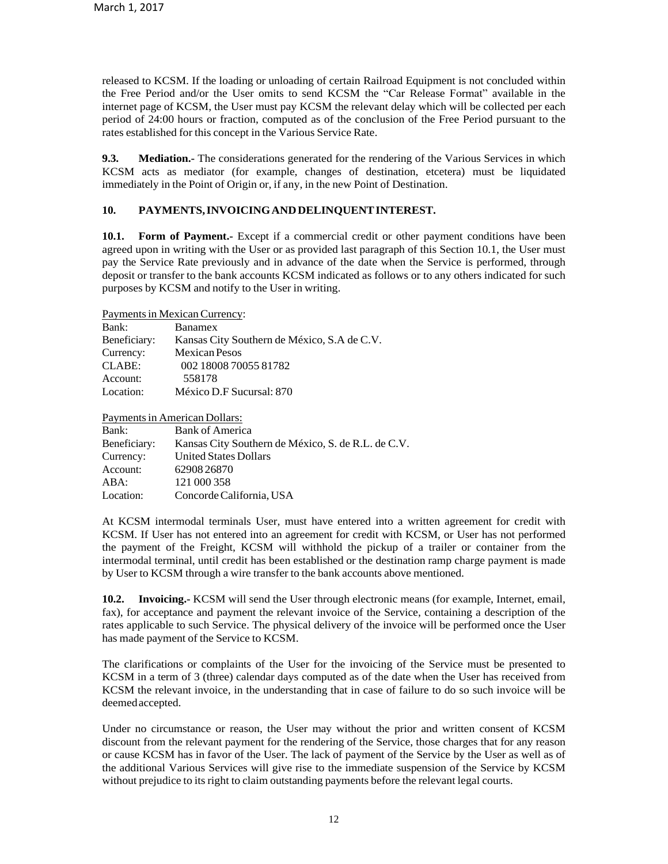released to KCSM. If the loading or unloading of certain Railroad Equipment is not concluded within the Free Period and/or the User omits to send KCSM the "Car Release Format" available in the internet page of KCSM, the User must pay KCSM the relevant delay which will be collected per each period of 24:00 hours or fraction, computed as of the conclusion of the Free Period pursuant to the rates established for this concept in the Various Service Rate.

**9.3. Mediation.-** The considerations generated for the rendering of the Various Services in which KCSM acts as mediator (for example, changes of destination, etcetera) must be liquidated immediately in the Point of Origin or, if any, in the new Point of Destination.

### **10. PAYMENTS,INVOICINGANDDELINQUENTINTEREST.**

**10.1. Form of Payment.-** Except if a commercial credit or other payment conditions have been agreed upon in writing with the User or as provided last paragraph of this Section 10.1, the User must pay the Service Rate previously and in advance of the date when the Service is performed, through deposit or transfer to the bank accounts KCSM indicated as follows or to any others indicated for such purposes by KCSM and notify to the User in writing.

Payments in Mexican Currency:

| Bank:        | <b>Banamex</b>                              |
|--------------|---------------------------------------------|
| Beneficiary: | Kansas City Southern de México, S.A de C.V. |
| Currency:    | <b>Mexican Pesos</b>                        |
| CLABE:       | 002 18008 70055 81782                       |
| Account:     | 558178                                      |
| Location:    | México D.F Sucursal: 870                    |

Payments in American Dollars:

| Bank:        | <b>Bank of America</b>                             |
|--------------|----------------------------------------------------|
| Beneficiary: | Kansas City Southern de México, S. de R.L. de C.V. |
| Currency:    | <b>United States Dollars</b>                       |
| Account:     | 6290826870                                         |
| ABA:         | 121 000 358                                        |
| Location:    | Concorde California, USA                           |

At KCSM intermodal terminals User, must have entered into a written agreement for credit with KCSM. If User has not entered into an agreement for credit with KCSM, or User has not performed the payment of the Freight, KCSM will withhold the pickup of a trailer or container from the intermodal terminal, until credit has been established or the destination ramp charge payment is made by User to KCSM through a wire transfer to the bank accounts above mentioned.

**10.2. Invoicing.-** KCSM will send the User through electronic means (for example, Internet, email, fax), for acceptance and payment the relevant invoice of the Service, containing a description of the rates applicable to such Service. The physical delivery of the invoice will be performed once the User has made payment of the Service to KCSM.

The clarifications or complaints of the User for the invoicing of the Service must be presented to KCSM in a term of 3 (three) calendar days computed as of the date when the User has received from KCSM the relevant invoice, in the understanding that in case of failure to do so such invoice will be deemedaccepted.

Under no circumstance or reason, the User may without the prior and written consent of KCSM discount from the relevant payment for the rendering of the Service, those charges that for any reason or cause KCSM has in favor of the User. The lack of payment of the Service by the User as well as of the additional Various Services will give rise to the immediate suspension of the Service by KCSM without prejudice to its right to claim outstanding payments before the relevant legal courts.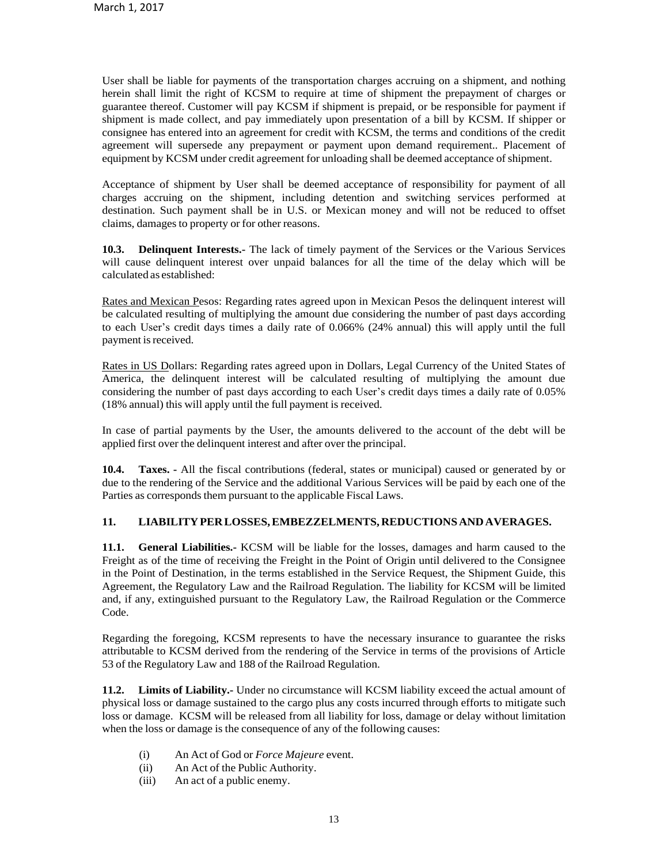User shall be liable for payments of the transportation charges accruing on a shipment, and nothing herein shall limit the right of KCSM to require at time of shipment the prepayment of charges or guarantee thereof. Customer will pay KCSM if shipment is prepaid, or be responsible for payment if shipment is made collect, and pay immediately upon presentation of a bill by KCSM. If shipper or consignee has entered into an agreement for credit with KCSM, the terms and conditions of the credit agreement will supersede any prepayment or payment upon demand requirement.. Placement of equipment by KCSM under credit agreement for unloading shall be deemed acceptance ofshipment.

Acceptance of shipment by User shall be deemed acceptance of responsibility for payment of all charges accruing on the shipment, including detention and switching services performed at destination. Such payment shall be in U.S. or Mexican money and will not be reduced to offset claims, damages to property or for other reasons.

**10.3. Delinquent Interests.-** The lack of timely payment of the Services or the Various Services will cause delinquent interest over unpaid balances for all the time of the delay which will be calculated as established:

Rates and Mexican Pesos: Regarding rates agreed upon in Mexican Pesos the delinquent interest will be calculated resulting of multiplying the amount due considering the number of past days according to each User's credit days times a daily rate of 0.066% (24% annual) this will apply until the full payment is received.

Rates in US Dollars: Regarding rates agreed upon in Dollars, Legal Currency of the United States of America, the delinquent interest will be calculated resulting of multiplying the amount due considering the number of past days according to each User's credit days times a daily rate of 0.05% (18% annual) this will apply until the full payment is received.

In case of partial payments by the User, the amounts delivered to the account of the debt will be applied first over the delinquent interest and after over the principal.

**10.4. Taxes. -** All the fiscal contributions (federal, states or municipal) caused or generated by or due to the rendering of the Service and the additional Various Services will be paid by each one of the Parties as corresponds them pursuant to the applicable Fiscal Laws.

## **11. LIABILITYPERLOSSES,EMBEZZELMENTS, REDUCTIONSANDAVERAGES.**

**11.1. General Liabilities.-** KCSM will be liable for the losses, damages and harm caused to the Freight as of the time of receiving the Freight in the Point of Origin until delivered to the Consignee in the Point of Destination, in the terms established in the Service Request, the Shipment Guide, this Agreement, the Regulatory Law and the Railroad Regulation. The liability for KCSM will be limited and, if any, extinguished pursuant to the Regulatory Law, the Railroad Regulation or the Commerce Code.

Regarding the foregoing, KCSM represents to have the necessary insurance to guarantee the risks attributable to KCSM derived from the rendering of the Service in terms of the provisions of Article 53 of the Regulatory Law and 188 of the Railroad Regulation.

**11.2. Limits of Liability.-** Under no circumstance will KCSM liability exceed the actual amount of physical loss or damage sustained to the cargo plus any costs incurred through efforts to mitigate such loss or damage. KCSM will be released from all liability for loss, damage or delay without limitation when the loss or damage is the consequence of any of the following causes:

- (i) An Act of God or *Force Majeure* event.
- (ii) An Act of the Public Authority.
- (iii) An act of a public enemy.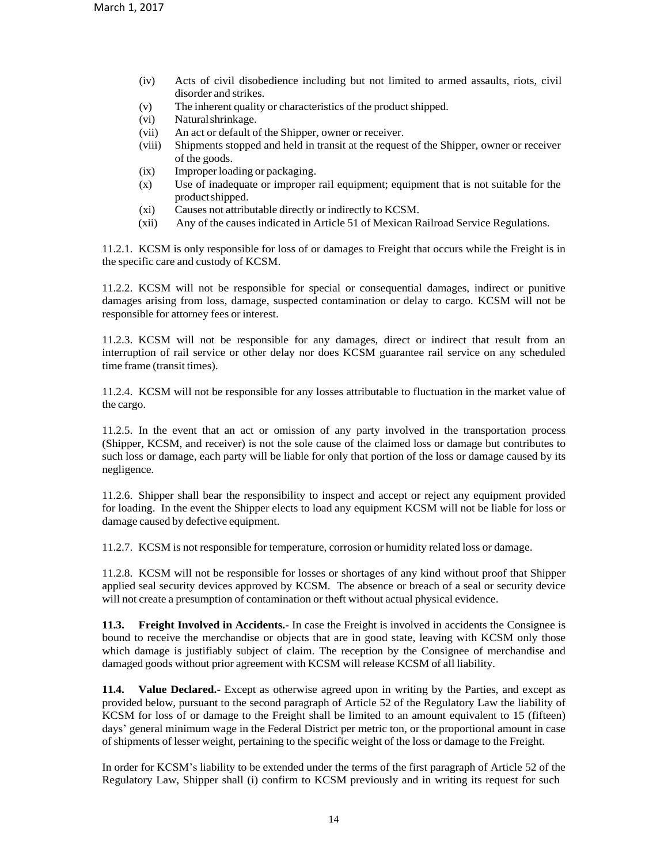- (iv) Acts of civil disobedience including but not limited to armed assaults, riots, civil disorder and strikes.
- (v) The inherent quality or characteristics of the product shipped.
- (vi) Naturalshrinkage.
- (vii) An act or default of the Shipper, owner or receiver.
- (viii) Shipments stopped and held in transit at the request of the Shipper, owner or receiver of the goods.
- (ix) Improperloading or packaging.
- (x) Use of inadequate or improper rail equipment; equipment that is not suitable for the productshipped.
- (xi) Causes not attributable directly or indirectly to KCSM.
- (xii) Any of the causes indicated in Article 51 of Mexican Railroad Service Regulations.

11.2.1. KCSM is only responsible for loss of or damages to Freight that occurs while the Freight is in the specific care and custody of KCSM.

11.2.2. KCSM will not be responsible for special or consequential damages, indirect or punitive damages arising from loss, damage, suspected contamination or delay to cargo. KCSM will not be responsible for attorney fees or interest.

11.2.3. KCSM will not be responsible for any damages, direct or indirect that result from an interruption of rail service or other delay nor does KCSM guarantee rail service on any scheduled time frame (transit times).

11.2.4. KCSM will not be responsible for any losses attributable to fluctuation in the market value of the cargo.

11.2.5. In the event that an act or omission of any party involved in the transportation process (Shipper, KCSM, and receiver) is not the sole cause of the claimed loss or damage but contributes to such loss or damage, each party will be liable for only that portion of the loss or damage caused by its negligence.

11.2.6. Shipper shall bear the responsibility to inspect and accept or reject any equipment provided for loading. In the event the Shipper elects to load any equipment KCSM will not be liable for loss or damage caused by defective equipment.

11.2.7. KCSM is not responsible for temperature, corrosion or humidity related loss or damage.

11.2.8. KCSM will not be responsible for losses or shortages of any kind without proof that Shipper applied seal security devices approved by KCSM. The absence or breach of a seal or security device will not create a presumption of contamination or theft without actual physical evidence.

**11.3. Freight Involved in Accidents.-** In case the Freight is involved in accidents the Consignee is bound to receive the merchandise or objects that are in good state, leaving with KCSM only those which damage is justifiably subject of claim. The reception by the Consignee of merchandise and damaged goods without prior agreement with KCSM will release KCSM of all liability.

**11.4. Value Declared.-** Except as otherwise agreed upon in writing by the Parties, and except as provided below, pursuant to the second paragraph of Article 52 of the Regulatory Law the liability of KCSM for loss of or damage to the Freight shall be limited to an amount equivalent to 15 (fifteen) days' general minimum wage in the Federal District per metric ton, or the proportional amount in case of shipments of lesser weight, pertaining to the specific weight of the loss or damage to the Freight.

In order for KCSM's liability to be extended under the terms of the first paragraph of Article 52 of the Regulatory Law, Shipper shall (i) confirm to KCSM previously and in writing its request for such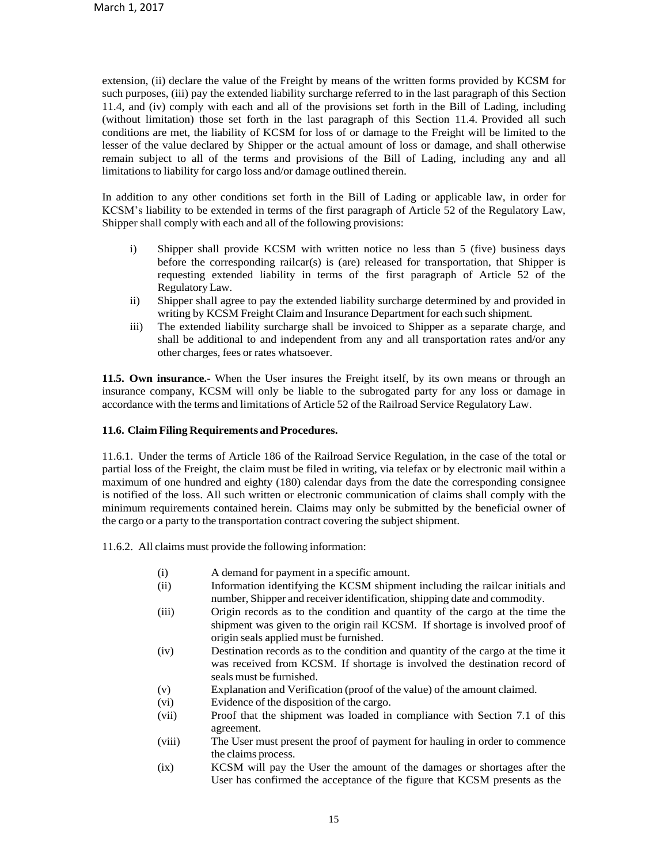extension, (ii) declare the value of the Freight by means of the written forms provided by KCSM for such purposes, (iii) pay the extended liability surcharge referred to in the last paragraph of this Section 11.4, and (iv) comply with each and all of the provisions set forth in the Bill of Lading, including (without limitation) those set forth in the last paragraph of this Section 11.4. Provided all such conditions are met, the liability of KCSM for loss of or damage to the Freight will be limited to the lesser of the value declared by Shipper or the actual amount of loss or damage, and shall otherwise remain subject to all of the terms and provisions of the Bill of Lading, including any and all limitations to liability for cargo loss and/or damage outlined therein.

In addition to any other conditions set forth in the Bill of Lading or applicable law, in order for KCSM's liability to be extended in terms of the first paragraph of Article 52 of the Regulatory Law, Shipper shall comply with each and all of the following provisions:

- i) Shipper shall provide KCSM with written notice no less than 5 (five) business days before the corresponding railcar(s) is (are) released for transportation, that Shipper is requesting extended liability in terms of the first paragraph of Article 52 of the RegulatoryLaw.
- ii) Shipper shall agree to pay the extended liability surcharge determined by and provided in writing by KCSM Freight Claim and Insurance Department for each such shipment.
- iii) The extended liability surcharge shall be invoiced to Shipper as a separate charge, and shall be additional to and independent from any and all transportation rates and/or any other charges, fees or rates whatsoever.

**11.5. Own insurance.-** When the User insures the Freight itself, by its own means or through an insurance company, KCSM will only be liable to the subrogated party for any loss or damage in accordance with the terms and limitations of Article 52 of the Railroad Service Regulatory Law.

#### **11.6. Claim Filing Requirements and Procedures.**

11.6.1. Under the terms of Article 186 of the Railroad Service Regulation, in the case of the total or partial loss of the Freight, the claim must be filed in writing, via telefax or by electronic mail within a maximum of one hundred and eighty (180) calendar days from the date the corresponding consignee is notified of the loss. All such written or electronic communication of claims shall comply with the minimum requirements contained herein. Claims may only be submitted by the beneficial owner of the cargo or a party to the transportation contract covering the subject shipment.

11.6.2. All claims must provide the following information:

- (i) A demand for payment in a specific amount.
- (ii) Information identifying the KCSM shipment including the railcar initials and number, Shipper and receiver identification, shipping date and commodity.
- (iii) Origin records as to the condition and quantity of the cargo at the time the shipment was given to the origin rail KCSM. If shortage is involved proof of origin seals applied must be furnished.
- (iv) Destination records as to the condition and quantity of the cargo at the time it was received from KCSM. If shortage is involved the destination record of seals must be furnished.
- (v) Explanation and Verification (proof of the value) of the amount claimed.
- (vi) Evidence of the disposition of the cargo.
- (vii) Proof that the shipment was loaded in compliance with Section 7.1 of this agreement.
- (viii) The User must present the proof of payment for hauling in order to commence the claims process.
- (ix) KCSM will pay the User the amount of the damages or shortages after the User has confirmed the acceptance of the figure that KCSM presents as the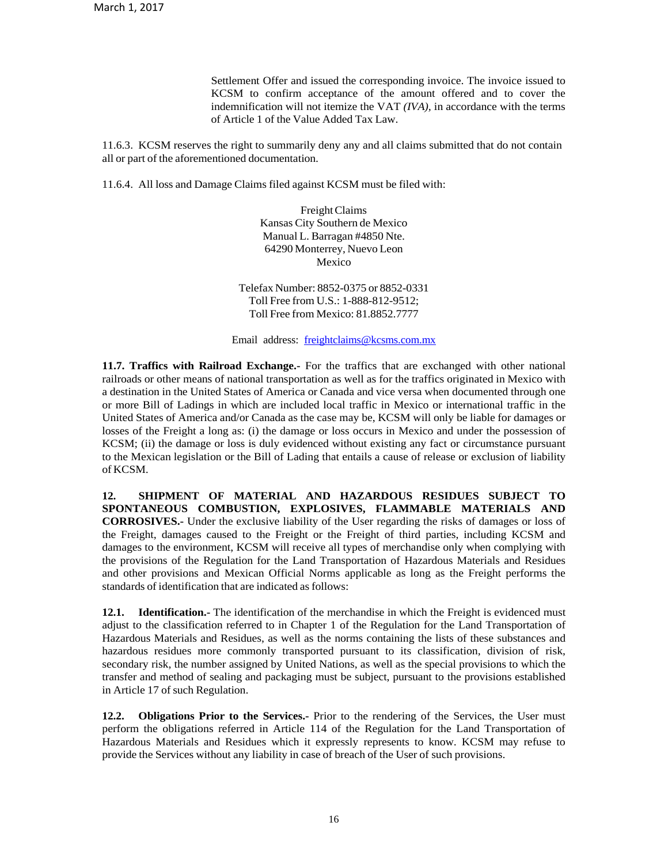Settlement Offer and issued the corresponding invoice. The invoice issued to KCSM to confirm acceptance of the amount offered and to cover the indemnification will not itemize the VAT *(IVA),* in accordance with the terms of Article 1 of the Value Added Tax Law.

11.6.3. KCSM reserves the right to summarily deny any and all claims submitted that do not contain all or part of the aforementioned documentation.

11.6.4. All loss and Damage Claims filed against KCSM must be filed with:

FreightClaims Kansas City Southern de Mexico Manual L. Barragan #4850 Nte. 64290 Monterrey, Nuevo Leon Mexico

Telefax Number: 8852-0375 or 8852-0331 Toll Free from U.S.: 1-888-812-9512; Toll Free from Mexico: 81.8852.7777

Email address: [freightclaims@kcsms.com.mx](mailto:freightclaims@kcsms.com.mx)

**11.7. Traffics with Railroad Exchange.-** For the traffics that are exchanged with other national railroads or other means of national transportation as well as for the traffics originated in Mexico with a destination in the United States of America or Canada and vice versa when documented through one or more Bill of Ladings in which are included local traffic in Mexico or international traffic in the United States of America and/or Canada as the case may be, KCSM will only be liable for damages or losses of the Freight a long as: (i) the damage or loss occurs in Mexico and under the possession of KCSM; (ii) the damage or loss is duly evidenced without existing any fact or circumstance pursuant to the Mexican legislation or the Bill of Lading that entails a cause of release or exclusion of liability of KCSM.

**12. SHIPMENT OF MATERIAL AND HAZARDOUS RESIDUES SUBJECT TO SPONTANEOUS COMBUSTION, EXPLOSIVES, FLAMMABLE MATERIALS AND CORROSIVES.-** Under the exclusive liability of the User regarding the risks of damages or loss of the Freight, damages caused to the Freight or the Freight of third parties, including KCSM and damages to the environment, KCSM will receive all types of merchandise only when complying with the provisions of the Regulation for the Land Transportation of Hazardous Materials and Residues and other provisions and Mexican Official Norms applicable as long as the Freight performs the standards of identification that are indicated as follows:

**12.1. Identification.-** The identification of the merchandise in which the Freight is evidenced must adjust to the classification referred to in Chapter 1 of the Regulation for the Land Transportation of Hazardous Materials and Residues, as well as the norms containing the lists of these substances and hazardous residues more commonly transported pursuant to its classification, division of risk, secondary risk, the number assigned by United Nations, as well as the special provisions to which the transfer and method of sealing and packaging must be subject, pursuant to the provisions established in Article 17 of such Regulation.

**12.2. Obligations Prior to the Services.-** Prior to the rendering of the Services, the User must perform the obligations referred in Article 114 of the Regulation for the Land Transportation of Hazardous Materials and Residues which it expressly represents to know. KCSM may refuse to provide the Services without any liability in case of breach of the User of such provisions.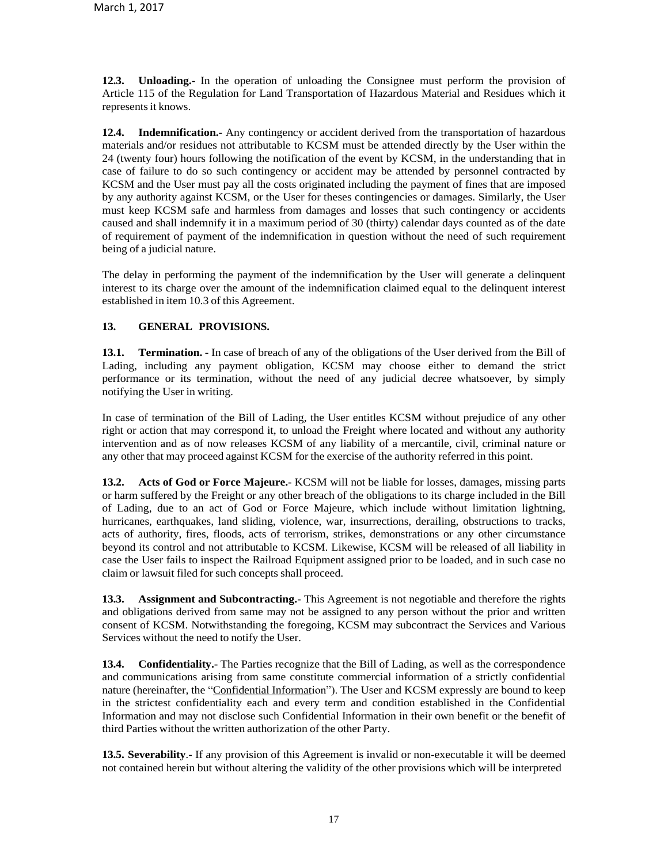**12.3. Unloading.-** In the operation of unloading the Consignee must perform the provision of Article 115 of the Regulation for Land Transportation of Hazardous Material and Residues which it represents it knows.

**12.4. Indemnification.-** Any contingency or accident derived from the transportation of hazardous materials and/or residues not attributable to KCSM must be attended directly by the User within the 24 (twenty four) hours following the notification of the event by KCSM, in the understanding that in case of failure to do so such contingency or accident may be attended by personnel contracted by KCSM and the User must pay all the costs originated including the payment of fines that are imposed by any authority against KCSM, or the User for theses contingencies or damages. Similarly, the User must keep KCSM safe and harmless from damages and losses that such contingency or accidents caused and shall indemnify it in a maximum period of 30 (thirty) calendar days counted as of the date of requirement of payment of the indemnification in question without the need of such requirement being of a judicial nature.

The delay in performing the payment of the indemnification by the User will generate a delinquent interest to its charge over the amount of the indemnification claimed equal to the delinquent interest established in item 10.3 of this Agreement.

## **13. GENERAL PROVISIONS.**

**13.1. Termination. -** In case of breach of any of the obligations of the User derived from the Bill of Lading, including any payment obligation, KCSM may choose either to demand the strict performance or its termination, without the need of any judicial decree whatsoever, by simply notifying the User in writing.

In case of termination of the Bill of Lading, the User entitles KCSM without prejudice of any other right or action that may correspond it, to unload the Freight where located and without any authority intervention and as of now releases KCSM of any liability of a mercantile, civil, criminal nature or any other that may proceed against KCSM for the exercise of the authority referred in this point.

**13.2. Acts of God or Force Majeure.-** KCSM will not be liable for losses, damages, missing parts or harm suffered by the Freight or any other breach of the obligations to its charge included in the Bill of Lading, due to an act of God or Force Majeure, which include without limitation lightning, hurricanes, earthquakes, land sliding, violence, war, insurrections, derailing, obstructions to tracks, acts of authority, fires, floods, acts of terrorism, strikes, demonstrations or any other circumstance beyond its control and not attributable to KCSM. Likewise, KCSM will be released of all liability in case the User fails to inspect the Railroad Equipment assigned prior to be loaded, and in such case no claim or lawsuit filed for such concepts shall proceed.

**13.3. Assignment and Subcontracting.-** This Agreement is not negotiable and therefore the rights and obligations derived from same may not be assigned to any person without the prior and written consent of KCSM. Notwithstanding the foregoing, KCSM may subcontract the Services and Various Services without the need to notify the User.

**13.4. Confidentiality.-** The Parties recognize that the Bill of Lading, as well as the correspondence and communications arising from same constitute commercial information of a strictly confidential nature (hereinafter, the "Confidential Information"). The User and KCSM expressly are bound to keep in the strictest confidentiality each and every term and condition established in the Confidential Information and may not disclose such Confidential Information in their own benefit or the benefit of third Parties without the written authorization of the other Party.

**13.5. Severability**.**-** If any provision of this Agreement is invalid or non-executable it will be deemed not contained herein but without altering the validity of the other provisions which will be interpreted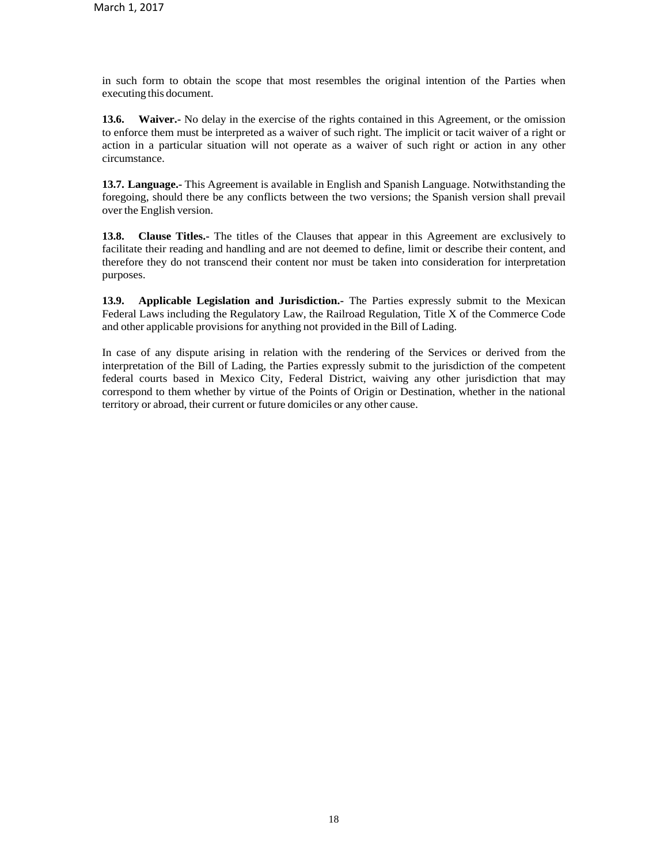in such form to obtain the scope that most resembles the original intention of the Parties when executing this document.

**13.6. Waiver.-** No delay in the exercise of the rights contained in this Agreement, or the omission to enforce them must be interpreted as a waiver of such right. The implicit or tacit waiver of a right or action in a particular situation will not operate as a waiver of such right or action in any other circumstance.

**13.7. Language.-** This Agreement is available in English and Spanish Language. Notwithstanding the foregoing, should there be any conflicts between the two versions; the Spanish version shall prevail over the English version.

**13.8. Clause Titles.-** The titles of the Clauses that appear in this Agreement are exclusively to facilitate their reading and handling and are not deemed to define, limit or describe their content, and therefore they do not transcend their content nor must be taken into consideration for interpretation purposes.

**13.9. Applicable Legislation and Jurisdiction.-** The Parties expressly submit to the Mexican Federal Laws including the Regulatory Law, the Railroad Regulation, Title X of the Commerce Code and other applicable provisions for anything not provided in the Bill of Lading.

In case of any dispute arising in relation with the rendering of the Services or derived from the interpretation of the Bill of Lading, the Parties expressly submit to the jurisdiction of the competent federal courts based in Mexico City, Federal District, waiving any other jurisdiction that may correspond to them whether by virtue of the Points of Origin or Destination, whether in the national territory or abroad, their current or future domiciles or any other cause.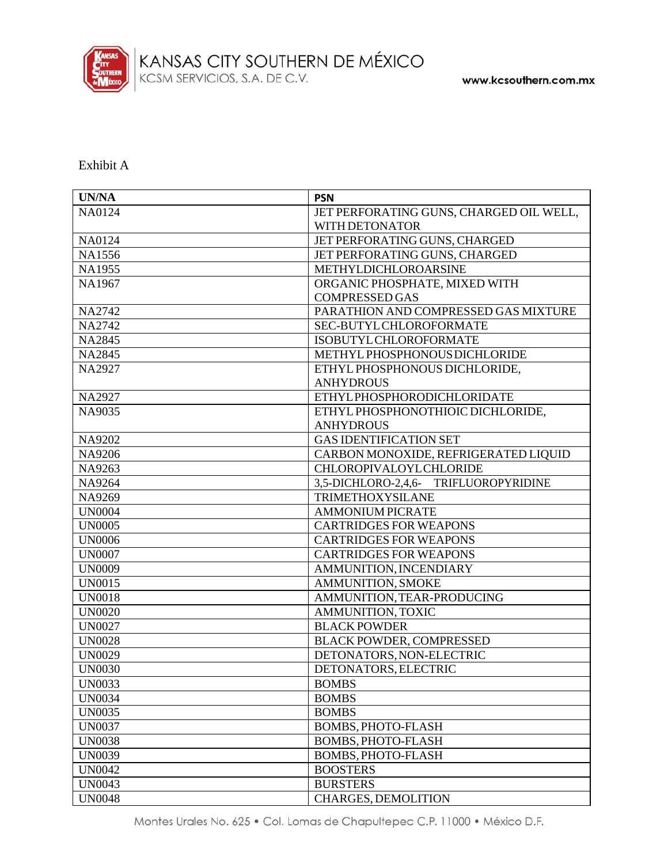

Exhibit A

| <b>UN/NA</b>  | <b>PSN</b>                              |
|---------------|-----------------------------------------|
| NA0124        | JET PERFORATING GUNS, CHARGED OIL WELL, |
|               | WITH DETONATOR                          |
| NA0124        | JET PERFORATING GUNS, CHARGED           |
| NA1556        | JET PERFORATING GUNS, CHARGED           |
| NA1955        | <b>METHYLDICHLOROARSINE</b>             |
| NA1967        | ORGANIC PHOSPHATE, MIXED WITH           |
|               | <b>COMPRESSED GAS</b>                   |
| NA2742        | PARATHION AND COMPRESSED GAS MIXTURE    |
| NA2742        | SEC-BUTYL CHLOROFORMATE                 |
| <b>NA2845</b> | <b>ISOBUTYL CHLOROFORMATE</b>           |
| <b>NA2845</b> | METHYL PHOSPHONOUS DICHLORIDE           |
| <b>NA2927</b> | ETHYL PHOSPHONOUS DICHLORIDE,           |
|               | <b>ANHYDROUS</b>                        |
| <b>NA2927</b> | <b>ETHYLPHOSPHORODICHLORIDATE</b>       |
| NA9035        | ETHYL PHOSPHONOTHIOIC DICHLORIDE,       |
|               | <b>ANHYDROUS</b>                        |
| NA9202        | <b>GAS IDENTIFICATION SET</b>           |
| NA9206        | CARBON MONOXIDE, REFRIGERATED LIQUID    |
| NA9263        | <b>CHLOROPIVALOYL CHLORIDE</b>          |
| NA9264        | 3,5-DICHLORO-2,4,6- TRIFLUOROPYRIDINE   |
| NA9269        | <b>TRIMETHOXYSILANE</b>                 |
| <b>UN0004</b> | <b>AMMONIUM PICRATE</b>                 |
| <b>UN0005</b> | <b>CARTRIDGES FOR WEAPONS</b>           |
| <b>UN0006</b> | <b>CARTRIDGES FOR WEAPONS</b>           |
| <b>UN0007</b> | <b>CARTRIDGES FOR WEAPONS</b>           |
| <b>UN0009</b> | AMMUNITION, INCENDIARY                  |
| <b>UN0015</b> | <b>AMMUNITION, SMOKE</b>                |
| <b>UN0018</b> | AMMUNITION, TEAR-PRODUCING              |
| <b>UN0020</b> | AMMUNITION, TOXIC                       |
| <b>UN0027</b> | <b>BLACK POWDER</b>                     |
| <b>UN0028</b> | <b>BLACK POWDER, COMPRESSED</b>         |
| <b>UN0029</b> | DETONATORS, NON-ELECTRIC                |
| <b>UN0030</b> | DETONATORS, ELECTRIC                    |
| <b>UN0033</b> | <b>BOMBS</b>                            |
| <b>UN0034</b> | <b>BOMBS</b>                            |
| <b>UN0035</b> | <b>BOMBS</b>                            |
| <b>UN0037</b> | <b>BOMBS, PHOTO-FLASH</b>               |
| <b>UN0038</b> | <b>BOMBS, PHOTO-FLASH</b>               |
| <b>UN0039</b> | <b>BOMBS, PHOTO-FLASH</b>               |
| <b>UN0042</b> | <b>BOOSTERS</b>                         |
| <b>UN0043</b> | <b>BURSTERS</b>                         |
| <b>UN0048</b> | CHARGES, DEMOLITION                     |

Montes Urales No. 625 · Col. Lomas de Chapultepec C.P. 11000 · México D.F.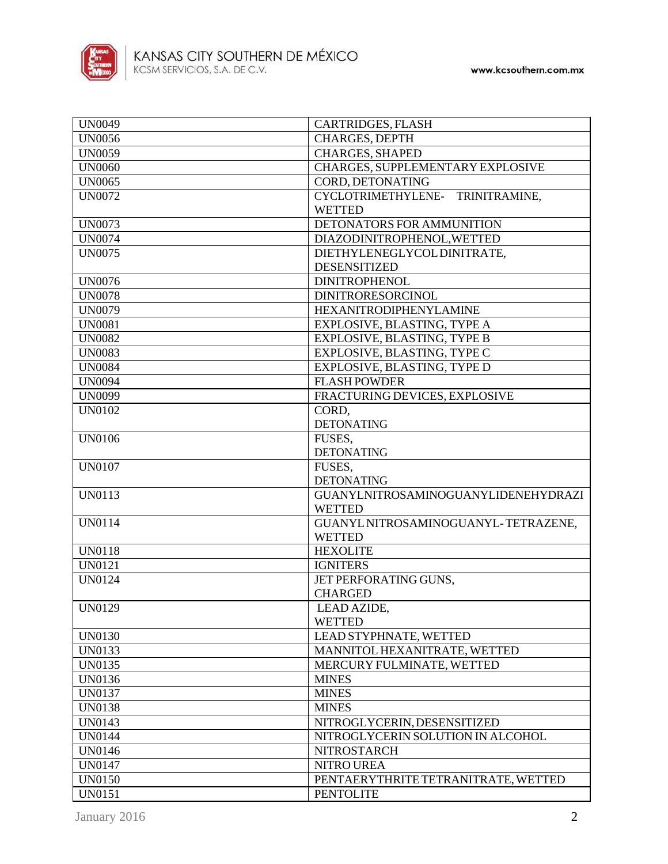

| <b>UN0049</b> | CARTRIDGES, FLASH                          |
|---------------|--------------------------------------------|
| <b>UN0056</b> | <b>CHARGES, DEPTH</b>                      |
| <b>UN0059</b> | <b>CHARGES, SHAPED</b>                     |
| <b>UN0060</b> | CHARGES, SUPPLEMENTARY EXPLOSIVE           |
| <b>UN0065</b> | CORD, DETONATING                           |
| <b>UN0072</b> | CYCLOTRIMETHYLENE-<br>TRINITRAMINE,        |
|               | <b>WETTED</b>                              |
| <b>UN0073</b> | DETONATORS FOR AMMUNITION                  |
| <b>UN0074</b> | DIAZODINITROPHENOL, WETTED                 |
| <b>UN0075</b> | DIETHYLENEGLYCOLDINITRATE,                 |
|               | <b>DESENSITIZED</b>                        |
| <b>UN0076</b> | <b>DINITROPHENOL</b>                       |
| <b>UN0078</b> | <b>DINITRORESORCINOL</b>                   |
| <b>UN0079</b> | <b>HEXANITRODIPHENYLAMINE</b>              |
| <b>UN0081</b> | EXPLOSIVE, BLASTING, TYPE A                |
| <b>UN0082</b> | EXPLOSIVE, BLASTING, TYPE B                |
| <b>UN0083</b> | EXPLOSIVE, BLASTING, TYPE C                |
| <b>UN0084</b> | EXPLOSIVE, BLASTING, TYPE D                |
| <b>UN0094</b> | <b>FLASH POWDER</b>                        |
| <b>UN0099</b> | FRACTURING DEVICES, EXPLOSIVE              |
| <b>UN0102</b> | CORD,                                      |
|               | <b>DETONATING</b>                          |
| <b>UN0106</b> | FUSES,                                     |
|               | <b>DETONATING</b>                          |
| <b>UN0107</b> | FUSES,                                     |
|               | <b>DETONATING</b>                          |
| <b>UN0113</b> | <b>GUANYLNITROSAMINOGUANYLIDENEHYDRAZI</b> |
|               | <b>WETTED</b>                              |
| <b>UN0114</b> | GUANYL NITROSAMINOGUANYL-TETRAZENE,        |
|               | <b>WETTED</b>                              |
| <b>UN0118</b> | <b>HEXOLITE</b>                            |
| <b>UN0121</b> | <b>IGNITERS</b>                            |
| <b>UN0124</b> | JET PERFORATING GUNS,                      |
|               | <b>CHARGED</b>                             |
| <b>UN0129</b> | LEAD AZIDE,                                |
|               | <b>WETTED</b>                              |
| <b>UN0130</b> | LEAD STYPHNATE, WETTED                     |
| <b>UN0133</b> | MANNITOL HEXANITRATE, WETTED               |
| UN0135        | MERCURY FULMINATE, WETTED                  |
| <b>UN0136</b> | <b>MINES</b>                               |
| <b>UN0137</b> | <b>MINES</b>                               |
| <b>UN0138</b> | <b>MINES</b>                               |
| <b>UN0143</b> | NITROGLYCERIN, DESENSITIZED                |
| <b>UN0144</b> | NITROGLYCERIN SOLUTION IN ALCOHOL          |
| <b>UN0146</b> | <b>NITROSTARCH</b>                         |
| <b>UN0147</b> | NITRO UREA                                 |
| <b>UN0150</b> | PENTAERYTHRITE TETRANITRATE, WETTED        |
| <b>UN0151</b> | <b>PENTOLITE</b>                           |
|               |                                            |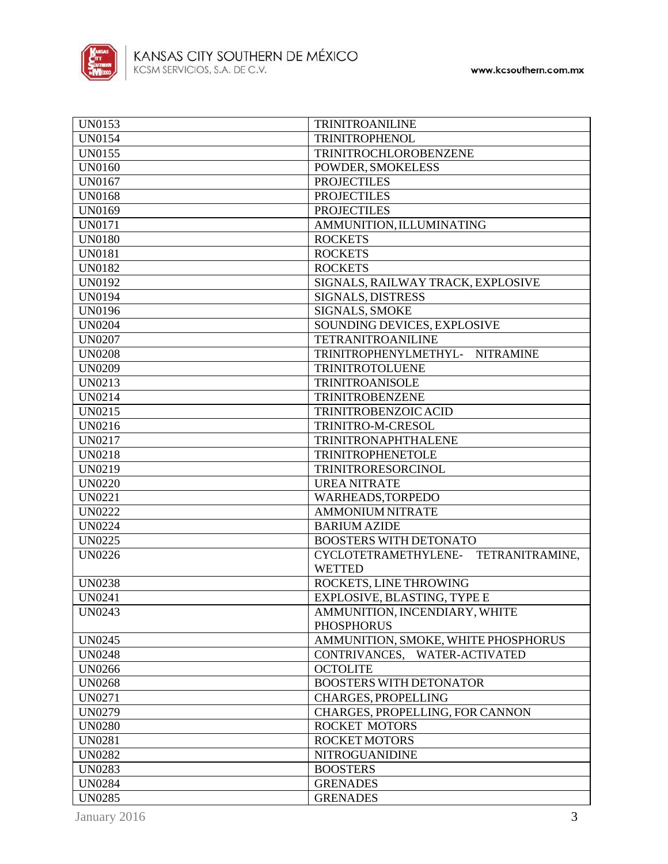

| <b>UN0153</b> | <b>TRINITROANILINE</b>                    |
|---------------|-------------------------------------------|
| <b>UN0154</b> | <b>TRINITROPHENOL</b>                     |
| <b>UN0155</b> | TRINITROCHLOROBENZENE                     |
| <b>UN0160</b> | POWDER, SMOKELESS                         |
| <b>UN0167</b> | <b>PROJECTILES</b>                        |
| <b>UN0168</b> | <b>PROJECTILES</b>                        |
| <b>UN0169</b> | <b>PROJECTILES</b>                        |
| <b>UN0171</b> | AMMUNITION, ILLUMINATING                  |
| <b>UN0180</b> | <b>ROCKETS</b>                            |
| <b>UN0181</b> | <b>ROCKETS</b>                            |
| <b>UN0182</b> | <b>ROCKETS</b>                            |
| <b>UN0192</b> | SIGNALS, RAILWAY TRACK, EXPLOSIVE         |
| <b>UN0194</b> | SIGNALS, DISTRESS                         |
| <b>UN0196</b> | SIGNALS, SMOKE                            |
| <b>UN0204</b> | SOUNDING DEVICES, EXPLOSIVE               |
| <b>UN0207</b> | <b>TETRANITROANILINE</b>                  |
| <b>UN0208</b> | TRINITROPHENYLMETHYL-<br><b>NITRAMINE</b> |
| <b>UN0209</b> | <b>TRINITROTOLUENE</b>                    |
| UN0213        | <b>TRINITROANISOLE</b>                    |
| UN0214        | <b>TRINITROBENZENE</b>                    |
| <b>UN0215</b> | TRINITROBENZOIC ACID                      |
| UN0216        | TRINITRO-M-CRESOL                         |
| <b>UN0217</b> | TRINITRONAPHTHALENE                       |
| <b>UN0218</b> | <b>TRINITROPHENETOLE</b>                  |
| <b>UN0219</b> | TRINITRORESORCINOL                        |
| <b>UN0220</b> | <b>UREA NITRATE</b>                       |
| <b>UN0221</b> | WARHEADS, TORPEDO                         |
| <b>UN0222</b> | <b>AMMONIUM NITRATE</b>                   |
| <b>UN0224</b> | <b>BARIUM AZIDE</b>                       |
| <b>UN0225</b> | <b>BOOSTERS WITH DETONATO</b>             |
| <b>UN0226</b> | CYCLOTETRAMETHYLENE- TETRANITRAMINE,      |
|               | <b>WETTED</b>                             |
| <b>UN0238</b> | ROCKETS, LINE THROWING                    |
| <b>UN0241</b> | <b>EXPLOSIVE, BLASTING, TYPE E</b>        |
| <b>UN0243</b> | AMMUNITION, INCENDIARY, WHITE             |
|               | <b>PHOSPHORUS</b>                         |
| <b>UN0245</b> | AMMUNITION, SMOKE, WHITE PHOSPHORUS       |
| <b>UN0248</b> | <b>WATER-ACTIVATED</b><br>CONTRIVANCES,   |
| <b>UN0266</b> | <b>OCTOLITE</b>                           |
| <b>UN0268</b> | <b>BOOSTERS WITH DETONATOR</b>            |
| <b>UN0271</b> | <b>CHARGES, PROPELLING</b>                |
| <b>UN0279</b> | CHARGES, PROPELLING, FOR CANNON           |
| <b>UN0280</b> | <b>ROCKET MOTORS</b>                      |
| <b>UN0281</b> | <b>ROCKET MOTORS</b>                      |
| <b>UN0282</b> | <b>NITROGUANIDINE</b>                     |
| <b>UN0283</b> | <b>BOOSTERS</b>                           |
| <b>UN0284</b> | <b>GRENADES</b>                           |
| <b>UN0285</b> | <b>GRENADES</b>                           |
|               |                                           |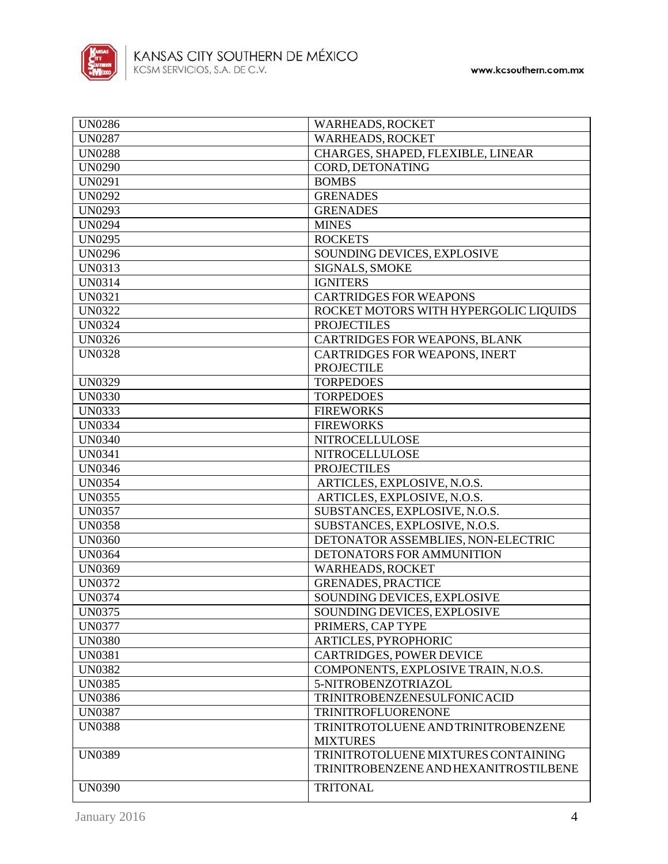

| <b>UN0286</b> | <b>WARHEADS, ROCKET</b>               |
|---------------|---------------------------------------|
| <b>UN0287</b> | <b>WARHEADS, ROCKET</b>               |
| <b>UN0288</b> | CHARGES, SHAPED, FLEXIBLE, LINEAR     |
| <b>UN0290</b> | CORD, DETONATING                      |
| <b>UN0291</b> | <b>BOMBS</b>                          |
| <b>UN0292</b> | <b>GRENADES</b>                       |
| <b>UN0293</b> | <b>GRENADES</b>                       |
| <b>UN0294</b> | <b>MINES</b>                          |
| <b>UN0295</b> | <b>ROCKETS</b>                        |
| <b>UN0296</b> | SOUNDING DEVICES, EXPLOSIVE           |
| <b>UN0313</b> | SIGNALS, SMOKE                        |
| <b>UN0314</b> | <b>IGNITERS</b>                       |
| <b>UN0321</b> | <b>CARTRIDGES FOR WEAPONS</b>         |
| <b>UN0322</b> | ROCKET MOTORS WITH HYPERGOLIC LIQUIDS |
| <b>UN0324</b> | <b>PROJECTILES</b>                    |
| <b>UN0326</b> | <b>CARTRIDGES FOR WEAPONS, BLANK</b>  |
| <b>UN0328</b> | CARTRIDGES FOR WEAPONS, INERT         |
|               | <b>PROJECTILE</b>                     |
| <b>UN0329</b> | <b>TORPEDOES</b>                      |
| <b>UN0330</b> | <b>TORPEDOES</b>                      |
| <b>UN0333</b> | <b>FIREWORKS</b>                      |
|               |                                       |
| <b>UN0334</b> | <b>FIREWORKS</b>                      |
| <b>UN0340</b> | NITROCELLULOSE                        |
| <b>UN0341</b> | NITROCELLULOSE                        |
| <b>UN0346</b> | <b>PROJECTILES</b>                    |
| <b>UN0354</b> | ARTICLES, EXPLOSIVE, N.O.S.           |
| <b>UN0355</b> | ARTICLES, EXPLOSIVE, N.O.S.           |
| <b>UN0357</b> | SUBSTANCES, EXPLOSIVE, N.O.S.         |
| <b>UN0358</b> | SUBSTANCES, EXPLOSIVE, N.O.S.         |
| <b>UN0360</b> | DETONATOR ASSEMBLIES, NON-ELECTRIC    |
| <b>UN0364</b> | DETONATORS FOR AMMUNITION             |
| <b>UN0369</b> | <b>WARHEADS, ROCKET</b>               |
| <b>UN0372</b> | <b>GRENADES, PRACTICE</b>             |
| <b>UN0374</b> | SOUNDING DEVICES, EXPLOSIVE           |
| UN0375        | SOUNDING DEVICES, EXPLOSIVE           |
| <b>UN0377</b> | PRIMERS, CAP TYPE                     |
| <b>UN0380</b> | <b>ARTICLES, PYROPHORIC</b>           |
| <b>UN0381</b> | <b>CARTRIDGES, POWER DEVICE</b>       |
| <b>UN0382</b> | COMPONENTS, EXPLOSIVE TRAIN, N.O.S.   |
| <b>UN0385</b> | 5-NITROBENZOTRIAZOL                   |
| <b>UN0386</b> | TRINITROBENZENESULFONIC ACID          |
| <b>UN0387</b> | TRINITROFLUORENONE                    |
| <b>UN0388</b> | TRINITROTOLUENE AND TRINITROBENZENE   |
|               | <b>MIXTURES</b>                       |
| <b>UN0389</b> | TRINITROTOLUENE MIXTURES CONTAINING   |
|               | TRINITROBENZENE AND HEXANITROSTILBENE |
| <b>UN0390</b> | <b>TRITONAL</b>                       |
|               |                                       |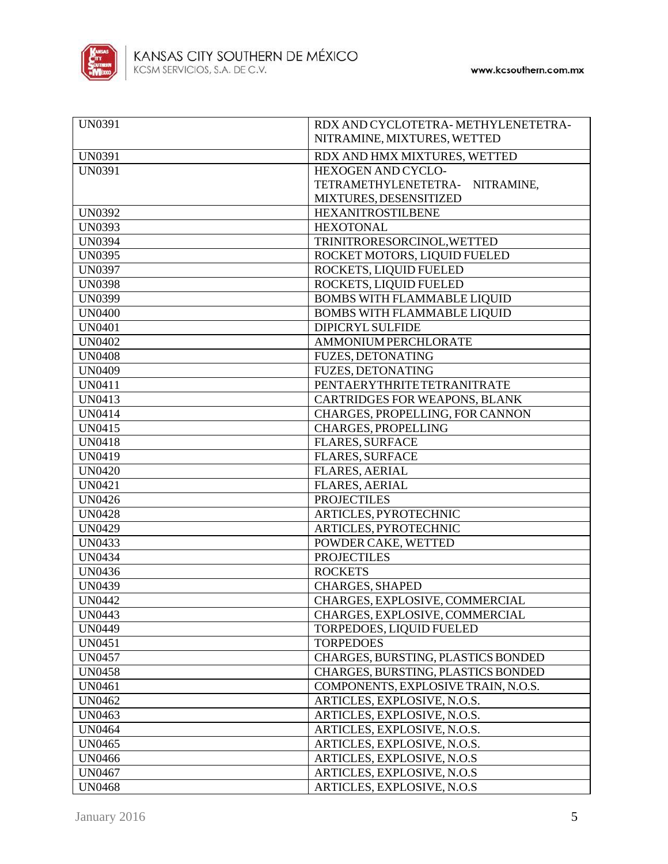

| <b>UN0391</b> | RDX AND CYCLOTETRA-METHYLENETETRA-<br>NITRAMINE, MIXTURES, WETTED |
|---------------|-------------------------------------------------------------------|
| <b>UN0391</b> | RDX AND HMX MIXTURES, WETTED                                      |
| <b>UN0391</b> | HEXOGEN AND CYCLO-                                                |
|               | TETRAMETHYLENETETRA- NITRAMINE,                                   |
|               | MIXTURES, DESENSITIZED                                            |
| <b>UN0392</b> | <b>HEXANITROSTILBENE</b>                                          |
| <b>UN0393</b> | <b>HEXOTONAL</b>                                                  |
| <b>UN0394</b> | TRINITRORESORCINOL, WETTED                                        |
| <b>UN0395</b> | ROCKET MOTORS, LIQUID FUELED                                      |
| <b>UN0397</b> | ROCKETS, LIQUID FUELED                                            |
| <b>UN0398</b> | ROCKETS, LIQUID FUELED                                            |
| <b>UN0399</b> | <b>BOMBS WITH FLAMMABLE LIQUID</b>                                |
| <b>UN0400</b> | <b>BOMBS WITH FLAMMABLE LIQUID</b>                                |
| <b>UN0401</b> | DIPICRYL SULFIDE                                                  |
| <b>UN0402</b> | AMMONIUM PERCHLORATE                                              |
| <b>UN0408</b> | <b>FUZES, DETONATING</b>                                          |
| <b>UN0409</b> | <b>FUZES, DETONATING</b>                                          |
| <b>UN0411</b> | <b>PENTAERYTHRITETETRANITRATE</b>                                 |
| <b>UN0413</b> | CARTRIDGES FOR WEAPONS, BLANK                                     |
| <b>UN0414</b> | CHARGES, PROPELLING, FOR CANNON                                   |
| UN0415        | <b>CHARGES, PROPELLING</b>                                        |
| <b>UN0418</b> | <b>FLARES, SURFACE</b>                                            |
| <b>UN0419</b> | FLARES, SURFACE                                                   |
| <b>UN0420</b> | <b>FLARES, AERIAL</b>                                             |
| <b>UN0421</b> | <b>FLARES, AERIAL</b>                                             |
| <b>UN0426</b> | <b>PROJECTILES</b>                                                |
| <b>UN0428</b> | ARTICLES, PYROTECHNIC                                             |
| <b>UN0429</b> | ARTICLES, PYROTECHNIC                                             |
| <b>UN0433</b> | POWDER CAKE, WETTED                                               |
| <b>UN0434</b> | <b>PROJECTILES</b>                                                |
| <b>UN0436</b> | <b>ROCKETS</b>                                                    |
| <b>UN0439</b> | <b>CHARGES, SHAPED</b>                                            |
| <b>UN0442</b> | CHARGES, EXPLOSIVE, COMMERCIAL                                    |
| <b>UN0443</b> | CHARGES, EXPLOSIVE, COMMERCIAL                                    |
| <b>UN0449</b> | TORPEDOES, LIQUID FUELED                                          |
| <b>UN0451</b> | <b>TORPEDOES</b>                                                  |
| <b>UN0457</b> | CHARGES, BURSTING, PLASTICS BONDED                                |
| <b>UN0458</b> | CHARGES, BURSTING, PLASTICS BONDED                                |
| <b>UN0461</b> | COMPONENTS, EXPLOSIVE TRAIN, N.O.S.                               |
| <b>UN0462</b> | ARTICLES, EXPLOSIVE, N.O.S.                                       |
| <b>UN0463</b> | ARTICLES, EXPLOSIVE, N.O.S.                                       |
| <b>UN0464</b> | ARTICLES, EXPLOSIVE, N.O.S.                                       |
| <b>UN0465</b> | ARTICLES, EXPLOSIVE, N.O.S.                                       |
| <b>UN0466</b> | ARTICLES, EXPLOSIVE, N.O.S                                        |
| <b>UN0467</b> | ARTICLES, EXPLOSIVE, N.O.S                                        |
| <b>UN0468</b> | ARTICLES, EXPLOSIVE, N.O.S                                        |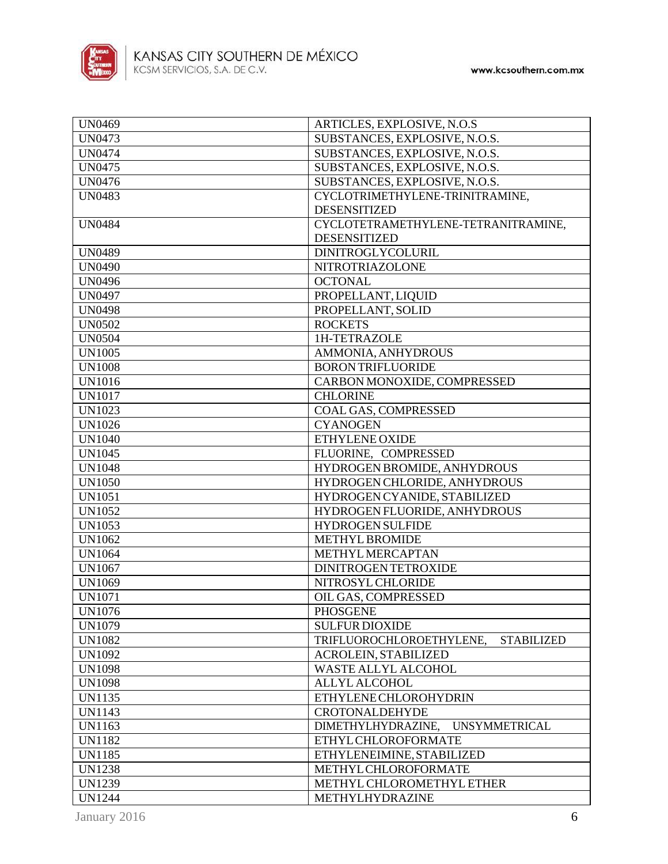

| <b>UN0469</b> | ARTICLES, EXPLOSIVE, N.O.S                    |
|---------------|-----------------------------------------------|
| <b>UN0473</b> | SUBSTANCES, EXPLOSIVE, N.O.S.                 |
| <b>UN0474</b> | SUBSTANCES, EXPLOSIVE, N.O.S.                 |
| <b>UN0475</b> | SUBSTANCES, EXPLOSIVE, N.O.S.                 |
| <b>UN0476</b> | SUBSTANCES, EXPLOSIVE, N.O.S.                 |
| <b>UN0483</b> | CYCLOTRIMETHYLENE-TRINITRAMINE,               |
|               | <b>DESENSITIZED</b>                           |
| <b>UN0484</b> | CYCLOTETRAMETHYLENE-TETRANITRAMINE,           |
|               | <b>DESENSITIZED</b>                           |
| <b>UN0489</b> | <b>DINITROGLYCOLURIL</b>                      |
| <b>UN0490</b> | NITROTRIAZOLONE                               |
| <b>UN0496</b> | <b>OCTONAL</b>                                |
| UN0497        | PROPELLANT, LIQUID                            |
| <b>UN0498</b> | PROPELLANT, SOLID                             |
| <b>UN0502</b> | <b>ROCKETS</b>                                |
| <b>UN0504</b> | 1H-TETRAZOLE                                  |
| <b>UN1005</b> | AMMONIA, ANHYDROUS                            |
| <b>UN1008</b> | <b>BORON TRIFLUORIDE</b>                      |
|               |                                               |
| <b>UN1016</b> | CARBON MONOXIDE, COMPRESSED                   |
| <b>UN1017</b> | <b>CHLORINE</b>                               |
| <b>UN1023</b> | COAL GAS, COMPRESSED                          |
| <b>UN1026</b> | <b>CYANOGEN</b>                               |
| <b>UN1040</b> | ETHYLENE OXIDE                                |
| UN1045        | FLUORINE, COMPRESSED                          |
| <b>UN1048</b> | HYDROGEN BROMIDE, ANHYDROUS                   |
| <b>UN1050</b> | HYDROGEN CHLORIDE, ANHYDROUS                  |
| <b>UN1051</b> | HYDROGEN CYANIDE, STABILIZED                  |
| <b>UN1052</b> | HYDROGEN FLUORIDE, ANHYDROUS                  |
| <b>UN1053</b> | <b>HYDROGEN SULFIDE</b>                       |
| <b>UN1062</b> | METHYL BROMIDE                                |
| <b>UN1064</b> | METHYL MERCAPTAN                              |
| <b>UN1067</b> | <b>DINITROGENTETROXIDE</b>                    |
| <b>UN1069</b> | NITROSYL CHLORIDE                             |
| <b>UN1071</b> | OIL GAS, COMPRESSED                           |
| <b>UN1076</b> | <b>PHOSGENE</b>                               |
| UN1079        | <b>SULFUR DIOXIDE</b>                         |
| <b>UN1082</b> | TRIFLUOROCHLOROETHYLENE,<br><b>STABILIZED</b> |
| <b>UN1092</b> | <b>ACROLEIN, STABILIZED</b>                   |
| <b>UN1098</b> | <b>WASTE ALLYL ALCOHOL</b>                    |
| <b>UN1098</b> | <b>ALLYL ALCOHOL</b>                          |
| <b>UN1135</b> | <b>ETHYLENE CHLOROHYDRIN</b>                  |
| <b>UN1143</b> | <b>CROTONALDEHYDE</b>                         |
| UN1163        | DIMETHYLHYDRAZINE,<br><b>UNSYMMETRICAL</b>    |
| <b>UN1182</b> | ETHYL CHLOROFORMATE                           |
| <b>UN1185</b> | ETHYLENEIMINE, STABILIZED                     |
| <b>UN1238</b> | METHYL CHLOROFORMATE                          |
| <b>UN1239</b> | METHYL CHLOROMETHYL ETHER                     |
| <b>UN1244</b> | METHYLHYDRAZINE                               |
|               |                                               |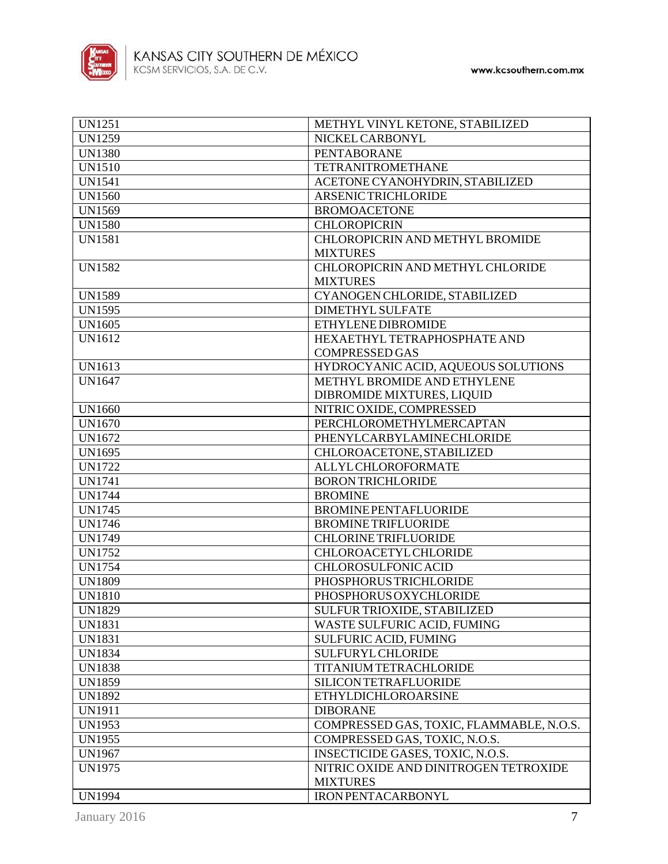

| <b>UN1251</b>                  | METHYL VINYL KETONE, STABILIZED          |
|--------------------------------|------------------------------------------|
| <b>UN1259</b>                  | NICKEL CARBONYL                          |
| <b>UN1380</b>                  | <b>PENTABORANE</b>                       |
| <b>UN1510</b>                  | <b>TETRANITROMETHANE</b>                 |
| <b>UN1541</b>                  | ACETONE CYANOHYDRIN, STABILIZED          |
| <b>UN1560</b>                  | <b>ARSENIC TRICHLORIDE</b>               |
| <b>UN1569</b>                  | <b>BROMOACETONE</b>                      |
| <b>UN1580</b>                  | <b>CHLOROPICRIN</b>                      |
| <b>UN1581</b>                  | CHLOROPICRIN AND METHYL BROMIDE          |
|                                | <b>MIXTURES</b>                          |
| <b>UN1582</b>                  | CHLOROPICRIN AND METHYL CHLORIDE         |
|                                | <b>MIXTURES</b>                          |
| <b>UN1589</b>                  | CYANOGEN CHLORIDE, STABILIZED            |
| <b>UN1595</b>                  | <b>DIMETHYL SULFATE</b>                  |
| UN1605                         | ETHYLENE DIBROMIDE                       |
| UN1612                         | HEXAETHYL TETRAPHOSPHATE AND             |
|                                | <b>COMPRESSED GAS</b>                    |
| UN1613                         | HYDROCYANIC ACID, AQUEOUS SOLUTIONS      |
| <b>UN1647</b>                  | METHYL BROMIDE AND ETHYLENE              |
|                                | DIBROMIDE MIXTURES, LIQUID               |
| <b>UN1660</b>                  | NITRIC OXIDE, COMPRESSED                 |
| <b>UN1670</b>                  | PERCHLOROMETHYLMERCAPTAN                 |
| UN1672                         | PHENYLCARBYLAMINECHLORIDE                |
| <b>UN1695</b>                  | CHLOROACETONE, STABILIZED                |
| <b>UN1722</b>                  | ALLYL CHLOROFORMATE                      |
| <b>UN1741</b>                  | <b>BORON TRICHLORIDE</b>                 |
| <b>UN1744</b>                  | <b>BROMINE</b>                           |
| <b>UN1745</b>                  | <b>BROMINE PENTAFLUORIDE</b>             |
| <b>UN1746</b>                  | <b>BROMINE TRIFLUORIDE</b>               |
| <b>UN1749</b>                  | <b>CHLORINE TRIFLUORIDE</b>              |
| <b>UN1752</b>                  | <b>CHLOROACETYL CHLORIDE</b>             |
| <b>UN1754</b>                  | CHLOROSULFONIC ACID                      |
| <b>UN1809</b>                  | PHOSPHORUS TRICHLORIDE                   |
| <b>UN1810</b>                  | PHOSPHORUS OXYCHLORIDE                   |
| <b>UN1829</b>                  | SULFUR TRIOXIDE, STABILIZED              |
| <b>UN1831</b>                  | WASTE SULFURIC ACID, FUMING              |
| <b>UN1831</b>                  | <b>SULFURIC ACID, FUMING</b>             |
| <b>UN1834</b>                  | <b>SULFURYL CHLORIDE</b>                 |
|                                | TITANIUM TETRACHLORIDE                   |
| <b>UN1838</b><br><b>UN1859</b> | <b>SILICON TETRAFLUORIDE</b>             |
|                                |                                          |
| <b>UN1892</b>                  | <b>ETHYLDICHLOROARSINE</b>               |
| <b>UN1911</b>                  | <b>DIBORANE</b>                          |
| <b>UN1953</b>                  | COMPRESSED GAS, TOXIC, FLAMMABLE, N.O.S. |
| UN1955                         | COMPRESSED GAS, TOXIC, N.O.S.            |
| <b>UN1967</b>                  | INSECTICIDE GASES, TOXIC, N.O.S.         |
| <b>UN1975</b>                  | NITRIC OXIDE AND DINITROGEN TETROXIDE    |
|                                | <b>MIXTURES</b>                          |
| <b>UN1994</b>                  | <b>IRON PENTACARBONYL</b>                |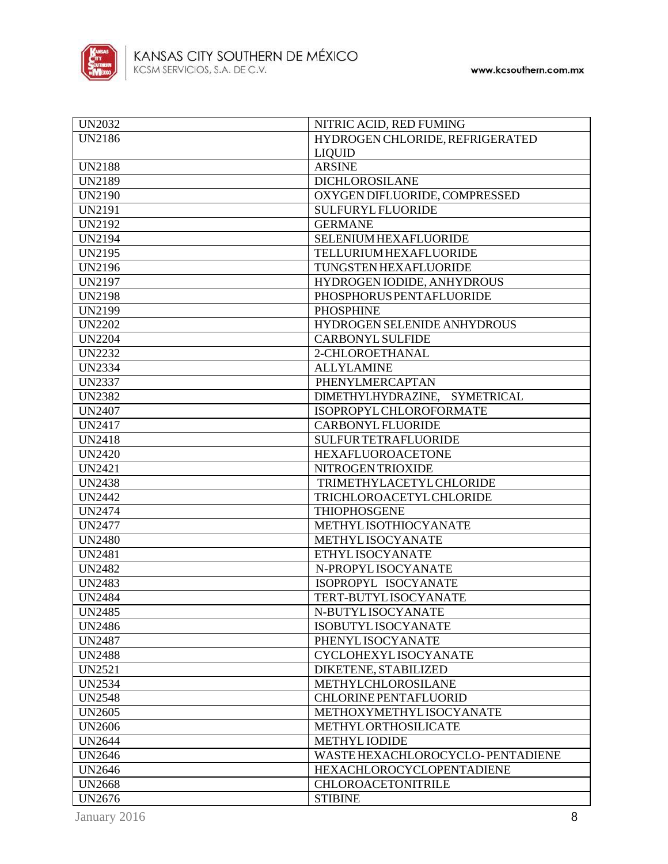

| <b>UN2032</b> | NITRIC ACID, RED FUMING          |
|---------------|----------------------------------|
| <b>UN2186</b> | HYDROGEN CHLORIDE, REFRIGERATED  |
|               | <b>LIQUID</b>                    |
| <b>UN2188</b> | <b>ARSINE</b>                    |
| <b>UN2189</b> | <b>DICHLOROSILANE</b>            |
| <b>UN2190</b> | OXYGEN DIFLUORIDE, COMPRESSED    |
| <b>UN2191</b> | <b>SULFURYL FLUORIDE</b>         |
| <b>UN2192</b> | <b>GERMANE</b>                   |
| <b>UN2194</b> | SELENIUM HEXAFLUORIDE            |
| <b>UN2195</b> | <b>TELLURIUM HEXAFLUORIDE</b>    |
| <b>UN2196</b> | TUNGSTEN HEXAFLUORIDE            |
| <b>UN2197</b> | HYDROGEN IODIDE, ANHYDROUS       |
| <b>UN2198</b> | PHOSPHORUS PENTAFLUORIDE         |
| <b>UN2199</b> | <b>PHOSPHINE</b>                 |
| <b>UN2202</b> | HYDROGEN SELENIDE ANHYDROUS      |
| <b>UN2204</b> | <b>CARBONYL SULFIDE</b>          |
| <b>UN2232</b> | 2-CHLOROETHANAL                  |
| <b>UN2334</b> | <b>ALLYLAMINE</b>                |
| <b>UN2337</b> | PHENYLMERCAPTAN                  |
| <b>UN2382</b> | DIMETHYLHYDRAZINE, SYMETRICAL    |
| <b>UN2407</b> | ISOPROPYL CHLOROFORMATE          |
| <b>UN2417</b> | <b>CARBONYL FLUORIDE</b>         |
| <b>UN2418</b> | <b>SULFUR TETRAFLUORIDE</b>      |
| <b>UN2420</b> | <b>HEXAFLUOROACETONE</b>         |
| <b>UN2421</b> | NITROGEN TRIOXIDE                |
| <b>UN2438</b> | <b>TRIMETHYLACETYL CHLORIDE</b>  |
| <b>UN2442</b> | <b>TRICHLOROACETYL CHLORIDE</b>  |
| <b>UN2474</b> | <b>THIOPHOSGENE</b>              |
| <b>UN2477</b> | METHYLISOTHIOCYANATE             |
| <b>UN2480</b> | METHYLISOCYANATE                 |
| <b>UN2481</b> | ETHYL ISOCYANATE                 |
| <b>UN2482</b> | N-PROPYLISOCYANATE               |
| <b>UN2483</b> | ISOPROPYL ISOCYANATE             |
| <b>UN2484</b> | TERT-BUTYLISOCYANATE             |
| <b>UN2485</b> | N-BUTYL ISOCYANATE               |
| <b>UN2486</b> | <b>ISOBUTYLISOCYANATE</b>        |
| <b>UN2487</b> | PHENYL ISOCYANATE                |
| <b>UN2488</b> | <b>CYCLOHEXYLISOCYANATE</b>      |
| <b>UN2521</b> | DIKETENE, STABILIZED             |
| <b>UN2534</b> | METHYLCHLOROSILANE               |
| <b>UN2548</b> | <b>CHLORINE PENTAFLUORID</b>     |
| <b>UN2605</b> | METHOXYMETHYLISOCYANATE          |
| <b>UN2606</b> | <b>METHYLORTHOSILICATE</b>       |
| <b>UN2644</b> | <b>METHYL IODIDE</b>             |
| <b>UN2646</b> | WASTE HEXACHLOROCYCLO-PENTADIENE |
| <b>UN2646</b> | <b>HEXACHLOROCYCLOPENTADIENE</b> |
| <b>UN2668</b> | <b>CHLOROACETONITRILE</b>        |
| <b>UN2676</b> | <b>STIBINE</b>                   |
|               |                                  |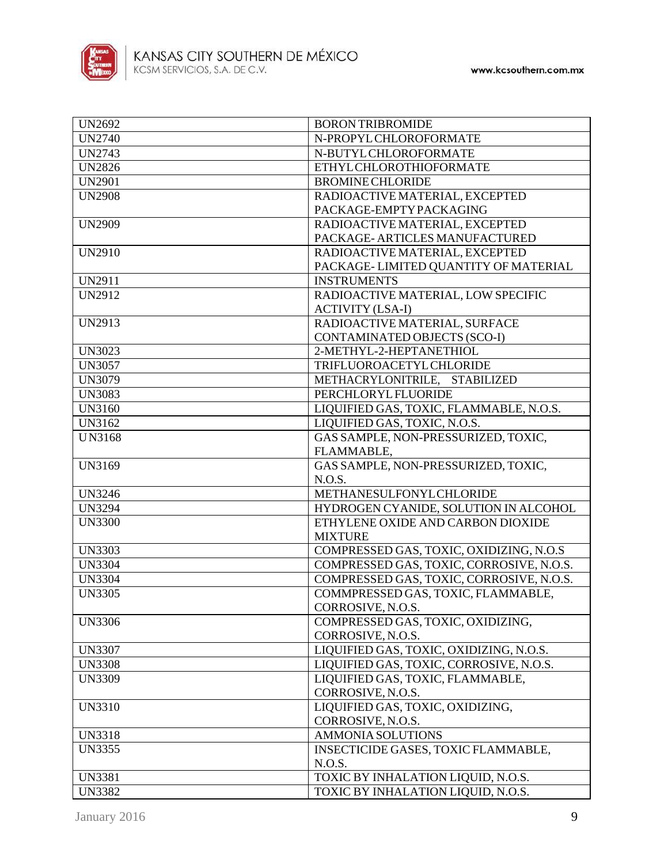

| <b>UN2692</b> | <b>BORON TRIBROMIDE</b>                                                  |
|---------------|--------------------------------------------------------------------------|
| <b>UN2740</b> | N-PROPYL CHLOROFORMATE                                                   |
| <b>UN2743</b> | N-BUTYL CHLOROFORMATE                                                    |
| <b>UN2826</b> | <b>ETHYLCHLOROTHIOFORMATE</b>                                            |
| <b>UN2901</b> | <b>BROMINE CHLORIDE</b>                                                  |
| <b>UN2908</b> | RADIOACTIVE MATERIAL, EXCEPTED                                           |
|               | PACKAGE-EMPTYPACKAGING                                                   |
| <b>UN2909</b> | RADIOACTIVE MATERIAL, EXCEPTED                                           |
|               | PACKAGE-ARTICLES MANUFACTURED                                            |
| <b>UN2910</b> | RADIOACTIVE MATERIAL, EXCEPTED                                           |
|               | PACKAGE-LIMITED QUANTITY OF MATERIAL                                     |
| <b>UN2911</b> | <b>INSTRUMENTS</b>                                                       |
| <b>UN2912</b> | RADIOACTIVE MATERIAL, LOW SPECIFIC                                       |
|               | <b>ACTIVITY (LSA-I)</b>                                                  |
| <b>UN2913</b> | RADIOACTIVE MATERIAL, SURFACE                                            |
|               | CONTAMINATED OBJECTS (SCO-I)                                             |
| <b>UN3023</b> | 2-METHYL-2-HEPTANETHIOL                                                  |
| <b>UN3057</b> | TRIFLUOROACETYL CHLORIDE                                                 |
| <b>UN3079</b> | METHACRYLONITRILE, STABILIZED                                            |
| <b>UN3083</b> | PERCHLORYL FLUORIDE                                                      |
| <b>UN3160</b> | LIQUIFIED GAS, TOXIC, FLAMMABLE, N.O.S.                                  |
| UN3162        | LIQUIFIED GAS, TOXIC, N.O.S.                                             |
| <b>UN3168</b> | GAS SAMPLE, NON-PRESSURIZED, TOXIC,                                      |
|               |                                                                          |
| UN3169        | FLAMMABLE,<br>GAS SAMPLE, NON-PRESSURIZED, TOXIC,                        |
|               | N.O.S.                                                                   |
| <b>UN3246</b> | METHANESULFONYLCHLORIDE                                                  |
| <b>UN3294</b> | HYDROGEN CYANIDE, SOLUTION IN ALCOHOL                                    |
| <b>UN3300</b> | ETHYLENE OXIDE AND CARBON DIOXIDE                                        |
|               | <b>MIXTURE</b>                                                           |
| <b>UN3303</b> | COMPRESSED GAS, TOXIC, OXIDIZING, N.O.S                                  |
| <b>UN3304</b> | COMPRESSED GAS, TOXIC, CORROSIVE, N.O.S.                                 |
| <b>UN3304</b> | COMPRESSED GAS, TOXIC, CORROSIVE, N.O.S.                                 |
| <b>UN3305</b> |                                                                          |
|               | COMMPRESSED GAS, TOXIC, FLAMMABLE,                                       |
|               | CORROSIVE, N.O.S.                                                        |
| <b>UN3306</b> | COMPRESSED GAS, TOXIC, OXIDIZING,                                        |
|               | CORROSIVE, N.O.S.                                                        |
| <b>UN3307</b> | LIQUIFIED GAS, TOXIC, OXIDIZING, N.O.S.                                  |
| <b>UN3308</b> | LIQUIFIED GAS, TOXIC, CORROSIVE, N.O.S.                                  |
| <b>UN3309</b> | LIQUIFIED GAS, TOXIC, FLAMMABLE,                                         |
|               | CORROSIVE, N.O.S.                                                        |
| <b>UN3310</b> | LIQUIFIED GAS, TOXIC, OXIDIZING,                                         |
|               | CORROSIVE, N.O.S.                                                        |
| <b>UN3318</b> | <b>AMMONIA SOLUTIONS</b>                                                 |
| <b>UN3355</b> | INSECTICIDE GASES, TOXIC FLAMMABLE,                                      |
|               | N.O.S.                                                                   |
| <b>UN3381</b> | TOXIC BY INHALATION LIQUID, N.O.S.<br>TOXIC BY INHALATION LIQUID, N.O.S. |
| <b>UN3382</b> |                                                                          |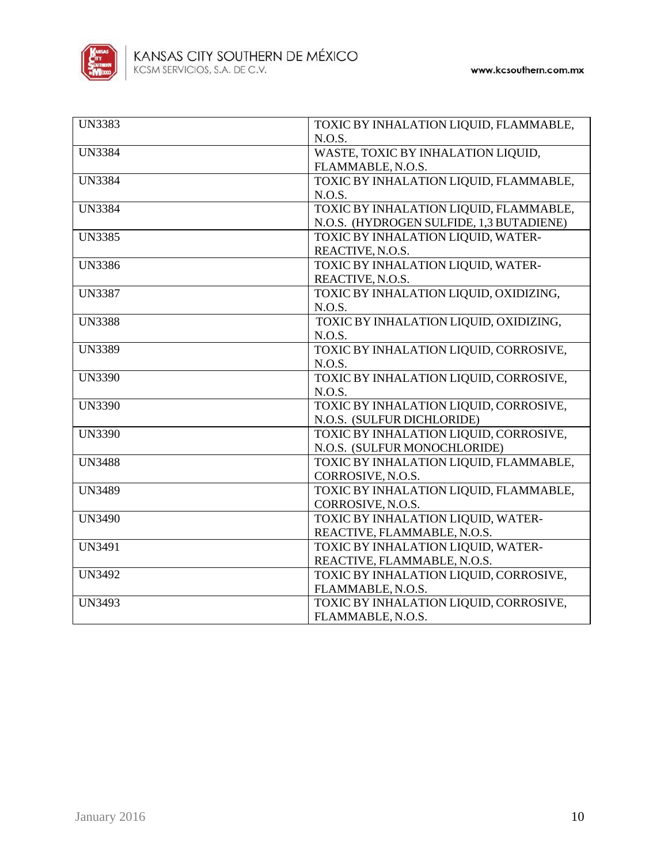

| <b>UN3383</b> | TOXIC BY INHALATION LIQUID, FLAMMABLE,   |
|---------------|------------------------------------------|
|               | N.O.S.                                   |
| <b>UN3384</b> | WASTE, TOXIC BY INHALATION LIQUID,       |
|               | FLAMMABLE, N.O.S.                        |
| <b>UN3384</b> | TOXIC BY INHALATION LIQUID, FLAMMABLE,   |
|               | N.O.S.                                   |
| <b>UN3384</b> | TOXIC BY INHALATION LIQUID, FLAMMABLE,   |
|               | N.O.S. (HYDROGEN SULFIDE, 1,3 BUTADIENE) |
| <b>UN3385</b> | TOXIC BY INHALATION LIQUID, WATER-       |
|               | REACTIVE, N.O.S.                         |
| <b>UN3386</b> | TOXIC BY INHALATION LIQUID, WATER-       |
|               | REACTIVE, N.O.S.                         |
| <b>UN3387</b> | TOXIC BY INHALATION LIQUID, OXIDIZING,   |
|               | N.O.S.                                   |
| <b>UN3388</b> | TOXIC BY INHALATION LIQUID, OXIDIZING,   |
|               | N.O.S.                                   |
| <b>UN3389</b> | TOXIC BY INHALATION LIQUID, CORROSIVE,   |
|               | N.O.S.                                   |
| <b>UN3390</b> | TOXIC BY INHALATION LIQUID, CORROSIVE,   |
|               | N.O.S.                                   |
| <b>UN3390</b> | TOXIC BY INHALATION LIQUID, CORROSIVE,   |
|               | N.O.S. (SULFUR DICHLORIDE)               |
| <b>UN3390</b> | TOXIC BY INHALATION LIQUID, CORROSIVE,   |
|               | N.O.S. (SULFUR MONOCHLORIDE)             |
| <b>UN3488</b> | TOXIC BY INHALATION LIQUID, FLAMMABLE,   |
|               | CORROSIVE, N.O.S.                        |
| <b>UN3489</b> | TOXIC BY INHALATION LIQUID, FLAMMABLE,   |
|               | CORROSIVE, N.O.S.                        |
| <b>UN3490</b> | TOXIC BY INHALATION LIQUID, WATER-       |
|               | REACTIVE, FLAMMABLE, N.O.S.              |
| <b>UN3491</b> | TOXIC BY INHALATION LIQUID, WATER-       |
|               | REACTIVE, FLAMMABLE, N.O.S.              |
| <b>UN3492</b> | TOXIC BY INHALATION LIQUID, CORROSIVE,   |
|               | FLAMMABLE, N.O.S.                        |
| <b>UN3493</b> | TOXIC BY INHALATION LIQUID, CORROSIVE,   |
|               | FLAMMABLE, N.O.S.                        |